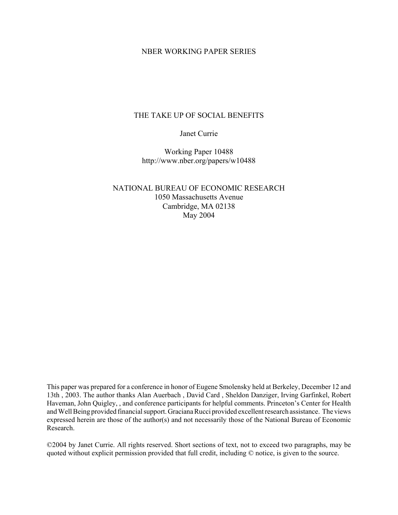### NBER WORKING PAPER SERIES

#### THE TAKE UP OF SOCIAL BENEFITS

Janet Currie

Working Paper 10488 http://www.nber.org/papers/w10488

NATIONAL BUREAU OF ECONOMIC RESEARCH 1050 Massachusetts Avenue Cambridge, MA 02138 May 2004

This paper was prepared for a conference in honor of Eugene Smolensky held at Berkeley, December 12 and 13th , 2003. The author thanks Alan Auerbach , David Card , Sheldon Danziger, Irving Garfinkel, Robert Haveman, John Quigley, , and conference participants for helpful comments. Princeton's Center for Health and Well Being provided financial support. Graciana Rucci provided excellent research assistance. The views expressed herein are those of the author(s) and not necessarily those of the National Bureau of Economic Research.

©2004 by Janet Currie. All rights reserved. Short sections of text, not to exceed two paragraphs, may be quoted without explicit permission provided that full credit, including © notice, is given to the source.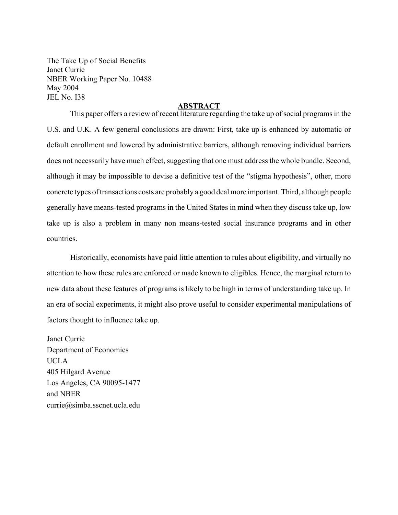The Take Up of Social Benefits Janet Currie NBER Working Paper No. 10488 May 2004 JEL No. I38

#### **ABSTRACT**

This paper offers a review of recent literature regarding the take up of social programs in the U.S. and U.K. A few general conclusions are drawn: First, take up is enhanced by automatic or default enrollment and lowered by administrative barriers, although removing individual barriers does not necessarily have much effect, suggesting that one must address the whole bundle. Second, although it may be impossible to devise a definitive test of the "stigma hypothesis", other, more concrete types of transactions costs are probably a good deal more important. Third, although people generally have means-tested programs in the United States in mind when they discuss take up, low take up is also a problem in many non means-tested social insurance programs and in other countries.

Historically, economists have paid little attention to rules about eligibility, and virtually no attention to how these rules are enforced or made known to eligibles. Hence, the marginal return to new data about these features of programs is likely to be high in terms of understanding take up. In an era of social experiments, it might also prove useful to consider experimental manipulations of factors thought to influence take up.

Janet Currie Department of Economics UCLA 405 Hilgard Avenue Los Angeles, CA 90095-1477 and NBER currie@simba.sscnet.ucla.edu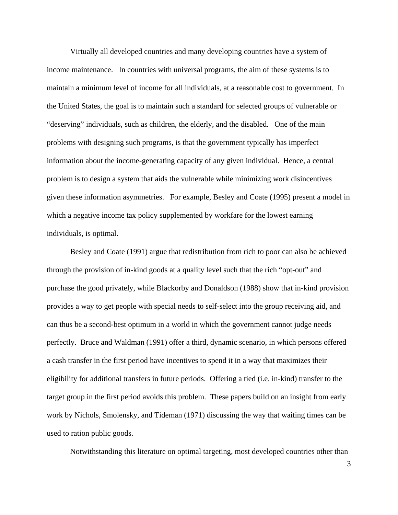Virtually all developed countries and many developing countries have a system of income maintenance. In countries with universal programs, the aim of these systems is to maintain a minimum level of income for all individuals, at a reasonable cost to government. In the United States, the goal is to maintain such a standard for selected groups of vulnerable or "deserving" individuals, such as children, the elderly, and the disabled. One of the main problems with designing such programs, is that the government typically has imperfect information about the income-generating capacity of any given individual. Hence, a central problem is to design a system that aids the vulnerable while minimizing work disincentives given these information asymmetries. For example, Besley and Coate (1995) present a model in which a negative income tax policy supplemented by workfare for the lowest earning individuals, is optimal.

Besley and Coate (1991) argue that redistribution from rich to poor can also be achieved through the provision of in-kind goods at a quality level such that the rich "opt-out" and purchase the good privately, while Blackorby and Donaldson (1988) show that in-kind provision provides a way to get people with special needs to self-select into the group receiving aid, and can thus be a second-best optimum in a world in which the government cannot judge needs perfectly. Bruce and Waldman (1991) offer a third, dynamic scenario, in which persons offered a cash transfer in the first period have incentives to spend it in a way that maximizes their eligibility for additional transfers in future periods. Offering a tied (i.e. in-kind) transfer to the target group in the first period avoids this problem. These papers build on an insight from early work by Nichols, Smolensky, and Tideman (1971) discussing the way that waiting times can be used to ration public goods.

Notwithstanding this literature on optimal targeting, most developed countries other than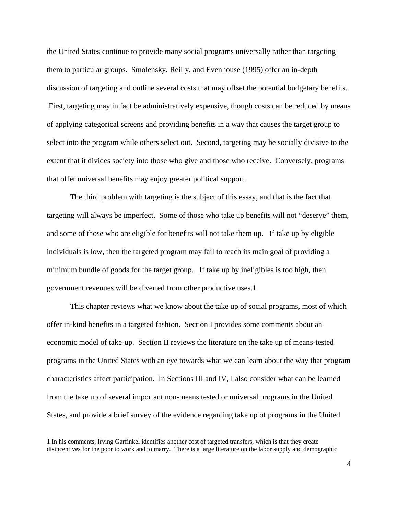the United States continue to provide many social programs universally rather than targeting them to particular groups. Smolensky, Reilly, and Evenhouse (1995) offer an in-depth discussion of targeting and outline several costs that may offset the potential budgetary benefits. First, targeting may in fact be administratively expensive, though costs can be reduced by means of applying categorical screens and providing benefits in a way that causes the target group to select into the program while others select out. Second, targeting may be socially divisive to the extent that it divides society into those who give and those who receive. Conversely, programs that offer universal benefits may enjoy greater political support.

The third problem with targeting is the subject of this essay, and that is the fact that targeting will always be imperfect. Some of those who take up benefits will not "deserve" them, and some of those who are eligible for benefits will not take them up. If take up by eligible individuals is low, then the targeted program may fail to reach its main goal of providing a minimum bundle of goods for the target group. If take up by ineligibles is too high, then government revenues will be diverted from other productive uses.1

 This chapter reviews what we know about the take up of social programs, most of which offer in-kind benefits in a targeted fashion. Section I provides some comments about an economic model of take-up. Section II reviews the literature on the take up of means-tested programs in the United States with an eye towards what we can learn about the way that program characteristics affect participation. In Sections III and IV, I also consider what can be learned from the take up of several important non-means tested or universal programs in the United States, and provide a brief survey of the evidence regarding take up of programs in the United

 $\overline{a}$ 

<sup>1</sup> In his comments, Irving Garfinkel identifies another cost of targeted transfers, which is that they create disincentives for the poor to work and to marry. There is a large literature on the labor supply and demographic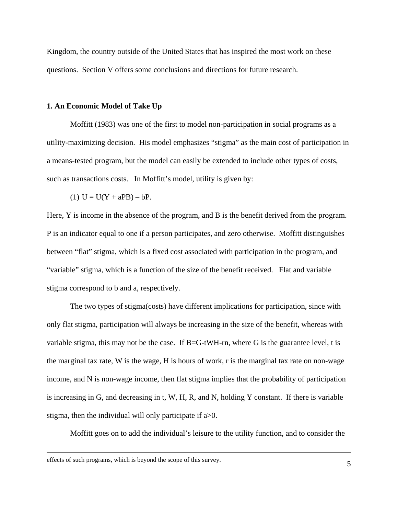Kingdom, the country outside of the United States that has inspired the most work on these questions. Section V offers some conclusions and directions for future research.

#### **1. An Economic Model of Take Up**

Moffitt (1983) was one of the first to model non-participation in social programs as a utility-maximizing decision. His model emphasizes "stigma" as the main cost of participation in a means-tested program, but the model can easily be extended to include other types of costs, such as transactions costs. In Moffitt's model, utility is given by:

(1) 
$$
U = U(Y + aPB) - bP
$$
.

Here, Y is income in the absence of the program, and B is the benefit derived from the program. P is an indicator equal to one if a person participates, and zero otherwise. Moffitt distinguishes between "flat" stigma, which is a fixed cost associated with participation in the program, and "variable" stigma, which is a function of the size of the benefit received. Flat and variable stigma correspond to b and a, respectively.

 The two types of stigma(costs) have different implications for participation, since with only flat stigma, participation will always be increasing in the size of the benefit, whereas with variable stigma, this may not be the case. If  $B = G$ -tWH-rn, where G is the guarantee level, t is the marginal tax rate, W is the wage, H is hours of work, r is the marginal tax rate on non-wage income, and N is non-wage income, then flat stigma implies that the probability of participation is increasing in G, and decreasing in t, W, H, R, and N, holding Y constant. If there is variable stigma, then the individual will only participate if a>0.

Moffitt goes on to add the individual's leisure to the utility function, and to consider the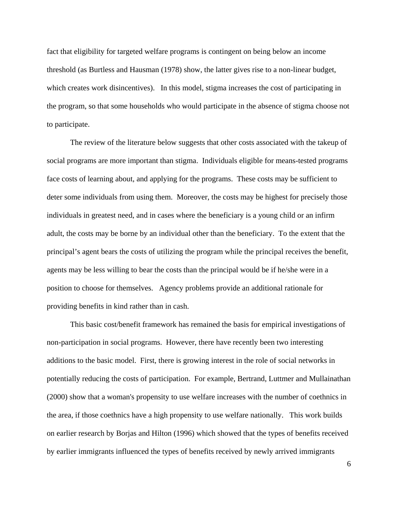fact that eligibility for targeted welfare programs is contingent on being below an income threshold (as Burtless and Hausman (1978) show, the latter gives rise to a non-linear budget, which creates work disincentives). In this model, stigma increases the cost of participating in the program, so that some households who would participate in the absence of stigma choose not to participate.

The review of the literature below suggests that other costs associated with the takeup of social programs are more important than stigma. Individuals eligible for means-tested programs face costs of learning about, and applying for the programs. These costs may be sufficient to deter some individuals from using them. Moreover, the costs may be highest for precisely those individuals in greatest need, and in cases where the beneficiary is a young child or an infirm adult, the costs may be borne by an individual other than the beneficiary. To the extent that the principal's agent bears the costs of utilizing the program while the principal receives the benefit, agents may be less willing to bear the costs than the principal would be if he/she were in a position to choose for themselves. Agency problems provide an additional rationale for providing benefits in kind rather than in cash.

 This basic cost/benefit framework has remained the basis for empirical investigations of non-participation in social programs. However, there have recently been two interesting additions to the basic model. First, there is growing interest in the role of social networks in potentially reducing the costs of participation. For example, Bertrand, Luttmer and Mullainathan (2000) show that a woman's propensity to use welfare increases with the number of coethnics in the area, if those coethnics have a high propensity to use welfare nationally. This work builds on earlier research by Borjas and Hilton (1996) which showed that the types of benefits received by earlier immigrants influenced the types of benefits received by newly arrived immigrants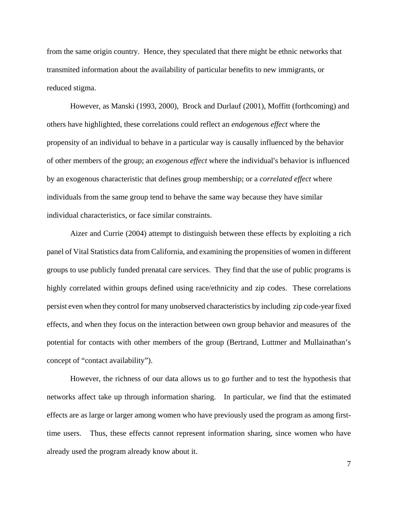from the same origin country. Hence, they speculated that there might be ethnic networks that transmited information about the availability of particular benefits to new immigrants, or reduced stigma.

 However, as Manski (1993, 2000), Brock and Durlauf (2001), Moffitt (forthcoming) and others have highlighted, these correlations could reflect an *endogenous effect* where the propensity of an individual to behave in a particular way is causally influenced by the behavior of other members of the group; an *exogenous effect* where the individual's behavior is influenced by an exogenous characteristic that defines group membership; or a *correlated effect* where individuals from the same group tend to behave the same way because they have similar individual characteristics, or face similar constraints.

Aizer and Currie (2004) attempt to distinguish between these effects by exploiting a rich panel of Vital Statistics data from California, and examining the propensities of women in different groups to use publicly funded prenatal care services. They find that the use of public programs is highly correlated within groups defined using race/ethnicity and zip codes. These correlations persist even when they control for many unobserved characteristics by including zip code-year fixed effects, and when they focus on the interaction between own group behavior and measures of the potential for contacts with other members of the group (Bertrand, Luttmer and Mullainathan's concept of "contact availability").

However, the richness of our data allows us to go further and to test the hypothesis that networks affect take up through information sharing. In particular, we find that the estimated effects are as large or larger among women who have previously used the program as among firsttime users. Thus, these effects cannot represent information sharing, since women who have already used the program already know about it.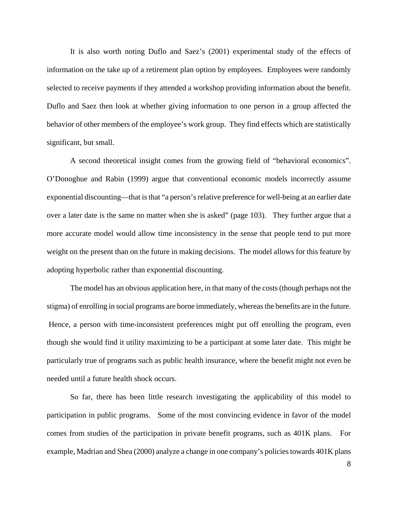It is also worth noting Duflo and Saez's (2001) experimental study of the effects of information on the take up of a retirement plan option by employees. Employees were randomly selected to receive payments if they attended a workshop providing information about the benefit. Duflo and Saez then look at whether giving information to one person in a group affected the behavior of other members of the employee's work group. They find effects which are statistically significant, but small.

 A second theoretical insight comes from the growing field of "behavioral economics". O'Donoghue and Rabin (1999) argue that conventional economic models incorrectly assume exponential discounting—that is that "a person's relative preference for well-being at an earlier date over a later date is the same no matter when she is asked" (page 103). They further argue that a more accurate model would allow time inconsistency in the sense that people tend to put more weight on the present than on the future in making decisions. The model allows for this feature by adopting hyperbolic rather than exponential discounting.

The model has an obvious application here, in that many of the costs (though perhaps not the stigma) of enrolling in social programs are borne immediately, whereas the benefits are in the future. Hence, a person with time-inconsistent preferences might put off enrolling the program, even though she would find it utility maximizing to be a participant at some later date. This might be particularly true of programs such as public health insurance, where the benefit might not even be needed until a future health shock occurs.

 So far, there has been little research investigating the applicability of this model to participation in public programs. Some of the most convincing evidence in favor of the model comes from studies of the participation in private benefit programs, such as 401K plans. For example, Madrian and Shea (2000) analyze a change in one company's policies towards 401K plans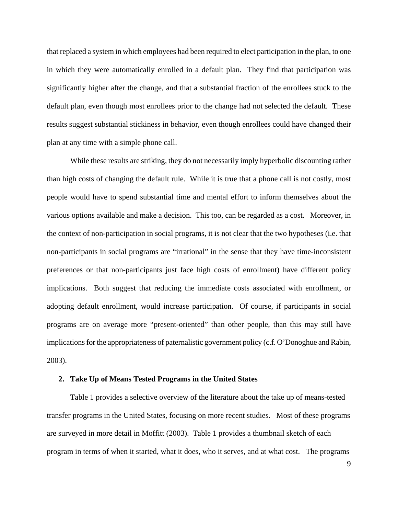that replaced a system in which employees had been required to elect participation in the plan, to one in which they were automatically enrolled in a default plan. They find that participation was significantly higher after the change, and that a substantial fraction of the enrollees stuck to the default plan, even though most enrollees prior to the change had not selected the default. These results suggest substantial stickiness in behavior, even though enrollees could have changed their plan at any time with a simple phone call.

While these results are striking, they do not necessarily imply hyperbolic discounting rather than high costs of changing the default rule. While it is true that a phone call is not costly, most people would have to spend substantial time and mental effort to inform themselves about the various options available and make a decision. This too, can be regarded as a cost. Moreover, in the context of non-participation in social programs, it is not clear that the two hypotheses (i.e. that non-participants in social programs are "irrational" in the sense that they have time-inconsistent preferences or that non-participants just face high costs of enrollment) have different policy implications. Both suggest that reducing the immediate costs associated with enrollment, or adopting default enrollment, would increase participation. Of course, if participants in social programs are on average more "present-oriented" than other people, than this may still have implications for the appropriateness of paternalistic government policy (c.f. O'Donoghue and Rabin, 2003).

#### **2. Take Up of Means Tested Programs in the United States**

 Table 1 provides a selective overview of the literature about the take up of means-tested transfer programs in the United States, focusing on more recent studies. Most of these programs are surveyed in more detail in Moffitt (2003). Table 1 provides a thumbnail sketch of each program in terms of when it started, what it does, who it serves, and at what cost. The programs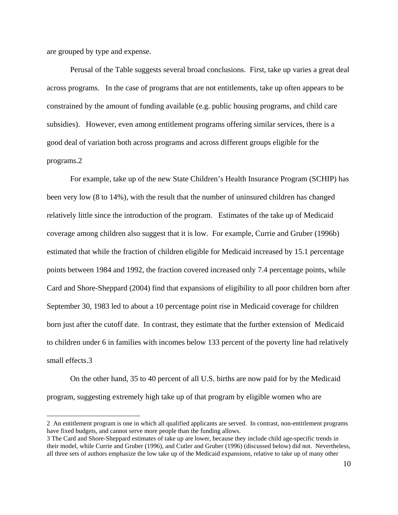are grouped by type and expense.

 $\overline{a}$ 

Perusal of the Table suggests several broad conclusions. First, take up varies a great deal across programs. In the case of programs that are not entitlements, take up often appears to be constrained by the amount of funding available (e.g. public housing programs, and child care subsidies). However, even among entitlement programs offering similar services, there is a good deal of variation both across programs and across different groups eligible for the programs.2

For example, take up of the new State Children's Health Insurance Program (SCHIP) has been very low (8 to 14%), with the result that the number of uninsured children has changed relatively little since the introduction of the program. Estimates of the take up of Medicaid coverage among children also suggest that it is low. For example, Currie and Gruber (1996b) estimated that while the fraction of children eligible for Medicaid increased by 15.1 percentage points between 1984 and 1992, the fraction covered increased only 7.4 percentage points, while Card and Shore-Sheppard (2004) find that expansions of eligibility to all poor children born after September 30, 1983 led to about a 10 percentage point rise in Medicaid coverage for children born just after the cutoff date. In contrast, they estimate that the further extension of Medicaid to children under 6 in families with incomes below 133 percent of the poverty line had relatively small effects.3

On the other hand, 35 to 40 percent of all U.S. births are now paid for by the Medicaid program, suggesting extremely high take up of that program by eligible women who are

<sup>2</sup> An entitlement program is one in which all qualified applicants are served. In contrast, non-entitlement programs have fixed budgets, and cannot serve more people than the funding allows.

<sup>3</sup> The Card and Shore-Sheppard estimates of take up are lower, because they include child age-specific trends in their model, while Currie and Gruber (1996), and Cutler and Gruber (1996) (discussed below) did not. Nevertheless, all three sets of authors emphasize the low take up of the Medicaid expansions, relative to take up of many other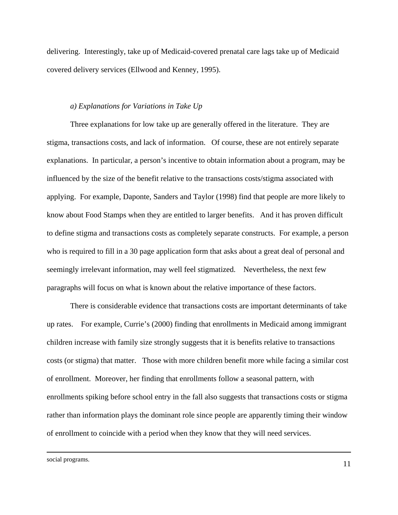delivering. Interestingly, take up of Medicaid-covered prenatal care lags take up of Medicaid covered delivery services (Ellwood and Kenney, 1995).

#### *a) Explanations for Variations in Take Up*

Three explanations for low take up are generally offered in the literature. They are stigma, transactions costs, and lack of information. Of course, these are not entirely separate explanations. In particular, a person's incentive to obtain information about a program, may be influenced by the size of the benefit relative to the transactions costs/stigma associated with applying. For example, Daponte, Sanders and Taylor (1998) find that people are more likely to know about Food Stamps when they are entitled to larger benefits. And it has proven difficult to define stigma and transactions costs as completely separate constructs. For example, a person who is required to fill in a 30 page application form that asks about a great deal of personal and seemingly irrelevant information, may well feel stigmatized. Nevertheless, the next few paragraphs will focus on what is known about the relative importance of these factors.

 There is considerable evidence that transactions costs are important determinants of take up rates. For example, Currie's (2000) finding that enrollments in Medicaid among immigrant children increase with family size strongly suggests that it is benefits relative to transactions costs (or stigma) that matter. Those with more children benefit more while facing a similar cost of enrollment. Moreover, her finding that enrollments follow a seasonal pattern, with enrollments spiking before school entry in the fall also suggests that transactions costs or stigma rather than information plays the dominant role since people are apparently timing their window of enrollment to coincide with a period when they know that they will need services.

social programs.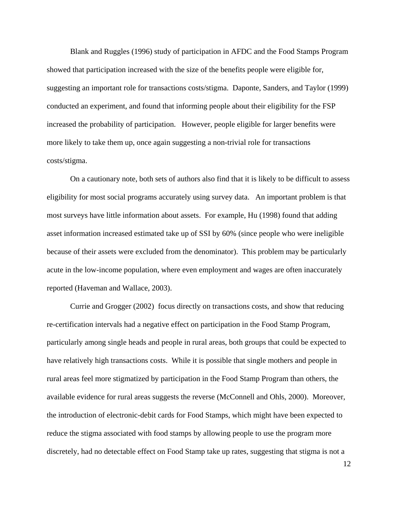Blank and Ruggles (1996) study of participation in AFDC and the Food Stamps Program showed that participation increased with the size of the benefits people were eligible for, suggesting an important role for transactions costs/stigma. Daponte, Sanders, and Taylor (1999) conducted an experiment, and found that informing people about their eligibility for the FSP increased the probability of participation. However, people eligible for larger benefits were more likely to take them up, once again suggesting a non-trivial role for transactions costs/stigma.

On a cautionary note, both sets of authors also find that it is likely to be difficult to assess eligibility for most social programs accurately using survey data. An important problem is that most surveys have little information about assets. For example, Hu (1998) found that adding asset information increased estimated take up of SSI by 60% (since people who were ineligible because of their assets were excluded from the denominator). This problem may be particularly acute in the low-income population, where even employment and wages are often inaccurately reported (Haveman and Wallace, 2003).

Currie and Grogger (2002) focus directly on transactions costs, and show that reducing re-certification intervals had a negative effect on participation in the Food Stamp Program, particularly among single heads and people in rural areas, both groups that could be expected to have relatively high transactions costs. While it is possible that single mothers and people in rural areas feel more stigmatized by participation in the Food Stamp Program than others, the available evidence for rural areas suggests the reverse (McConnell and Ohls, 2000). Moreover, the introduction of electronic-debit cards for Food Stamps, which might have been expected to reduce the stigma associated with food stamps by allowing people to use the program more discretely, had no detectable effect on Food Stamp take up rates, suggesting that stigma is not a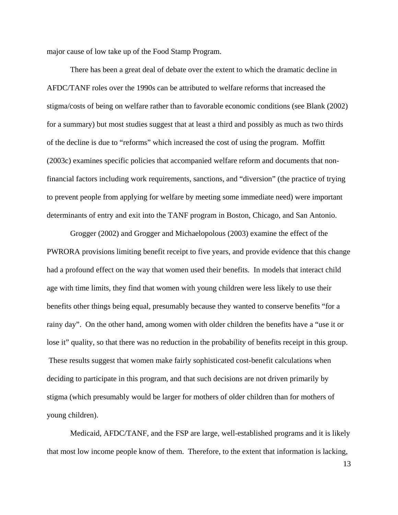major cause of low take up of the Food Stamp Program.

There has been a great deal of debate over the extent to which the dramatic decline in AFDC/TANF roles over the 1990s can be attributed to welfare reforms that increased the stigma/costs of being on welfare rather than to favorable economic conditions (see Blank (2002) for a summary) but most studies suggest that at least a third and possibly as much as two thirds of the decline is due to "reforms" which increased the cost of using the program. Moffitt (2003c) examines specific policies that accompanied welfare reform and documents that nonfinancial factors including work requirements, sanctions, and "diversion" (the practice of trying to prevent people from applying for welfare by meeting some immediate need) were important determinants of entry and exit into the TANF program in Boston, Chicago, and San Antonio.

Grogger (2002) and Grogger and Michaelopolous (2003) examine the effect of the PWRORA provisions limiting benefit receipt to five years, and provide evidence that this change had a profound effect on the way that women used their benefits. In models that interact child age with time limits, they find that women with young children were less likely to use their benefits other things being equal, presumably because they wanted to conserve benefits "for a rainy day". On the other hand, among women with older children the benefits have a "use it or lose it" quality, so that there was no reduction in the probability of benefits receipt in this group. These results suggest that women make fairly sophisticated cost-benefit calculations when deciding to participate in this program, and that such decisions are not driven primarily by stigma (which presumably would be larger for mothers of older children than for mothers of young children).

Medicaid, AFDC/TANF, and the FSP are large, well-established programs and it is likely that most low income people know of them. Therefore, to the extent that information is lacking,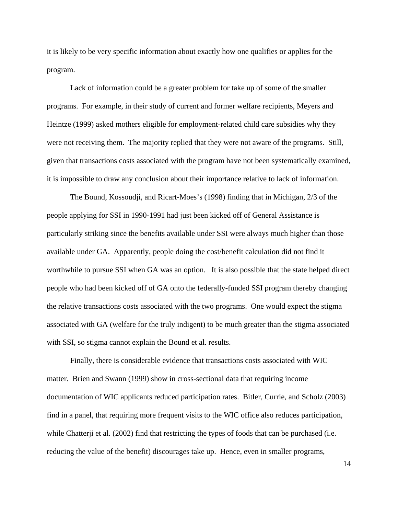it is likely to be very specific information about exactly how one qualifies or applies for the program.

Lack of information could be a greater problem for take up of some of the smaller programs. For example, in their study of current and former welfare recipients, Meyers and Heintze (1999) asked mothers eligible for employment-related child care subsidies why they were not receiving them. The majority replied that they were not aware of the programs. Still, given that transactions costs associated with the program have not been systematically examined, it is impossible to draw any conclusion about their importance relative to lack of information.

The Bound, Kossoudji, and Ricart-Moes's (1998) finding that in Michigan, 2/3 of the people applying for SSI in 1990-1991 had just been kicked off of General Assistance is particularly striking since the benefits available under SSI were always much higher than those available under GA. Apparently, people doing the cost/benefit calculation did not find it worthwhile to pursue SSI when GA was an option. It is also possible that the state helped direct people who had been kicked off of GA onto the federally-funded SSI program thereby changing the relative transactions costs associated with the two programs. One would expect the stigma associated with GA (welfare for the truly indigent) to be much greater than the stigma associated with SSI, so stigma cannot explain the Bound et al. results.

Finally, there is considerable evidence that transactions costs associated with WIC matter. Brien and Swann (1999) show in cross-sectional data that requiring income documentation of WIC applicants reduced participation rates. Bitler, Currie, and Scholz (2003) find in a panel, that requiring more frequent visits to the WIC office also reduces participation, while Chatterji et al. (2002) find that restricting the types of foods that can be purchased (i.e. reducing the value of the benefit) discourages take up. Hence, even in smaller programs,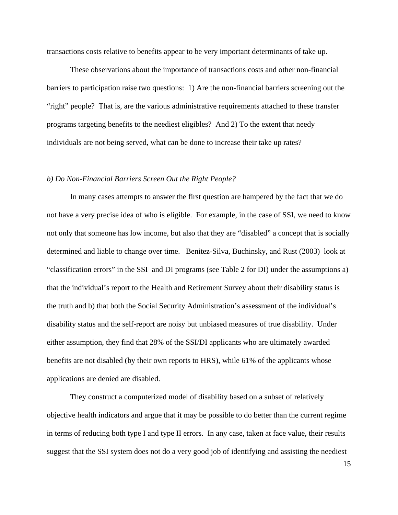transactions costs relative to benefits appear to be very important determinants of take up.

 These observations about the importance of transactions costs and other non-financial barriers to participation raise two questions: 1) Are the non-financial barriers screening out the "right" people? That is, are the various administrative requirements attached to these transfer programs targeting benefits to the neediest eligibles? And 2) To the extent that needy individuals are not being served, what can be done to increase their take up rates?

#### *b) Do Non-Financial Barriers Screen Out the Right People?*

 In many cases attempts to answer the first question are hampered by the fact that we do not have a very precise idea of who is eligible. For example, in the case of SSI, we need to know not only that someone has low income, but also that they are "disabled" a concept that is socially determined and liable to change over time. Benitez-Silva, Buchinsky, and Rust (2003) look at "classification errors" in the SSI and DI programs (see Table 2 for DI) under the assumptions a) that the individual's report to the Health and Retirement Survey about their disability status is the truth and b) that both the Social Security Administration's assessment of the individual's disability status and the self-report are noisy but unbiased measures of true disability. Under either assumption, they find that 28% of the SSI/DI applicants who are ultimately awarded benefits are not disabled (by their own reports to HRS), while 61% of the applicants whose applications are denied are disabled.

They construct a computerized model of disability based on a subset of relatively objective health indicators and argue that it may be possible to do better than the current regime in terms of reducing both type I and type II errors. In any case, taken at face value, their results suggest that the SSI system does not do a very good job of identifying and assisting the neediest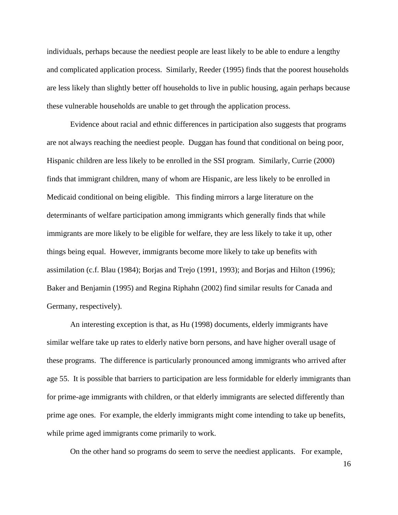individuals, perhaps because the neediest people are least likely to be able to endure a lengthy and complicated application process. Similarly, Reeder (1995) finds that the poorest households are less likely than slightly better off households to live in public housing, again perhaps because these vulnerable households are unable to get through the application process.

 Evidence about racial and ethnic differences in participation also suggests that programs are not always reaching the neediest people. Duggan has found that conditional on being poor, Hispanic children are less likely to be enrolled in the SSI program. Similarly, Currie (2000) finds that immigrant children, many of whom are Hispanic, are less likely to be enrolled in Medicaid conditional on being eligible. This finding mirrors a large literature on the determinants of welfare participation among immigrants which generally finds that while immigrants are more likely to be eligible for welfare, they are less likely to take it up, other things being equal. However, immigrants become more likely to take up benefits with assimilation (c.f. Blau (1984); Borjas and Trejo (1991, 1993); and Borjas and Hilton (1996); Baker and Benjamin (1995) and Regina Riphahn (2002) find similar results for Canada and Germany, respectively).

An interesting exception is that, as Hu (1998) documents, elderly immigrants have similar welfare take up rates to elderly native born persons, and have higher overall usage of these programs. The difference is particularly pronounced among immigrants who arrived after age 55. It is possible that barriers to participation are less formidable for elderly immigrants than for prime-age immigrants with children, or that elderly immigrants are selected differently than prime age ones. For example, the elderly immigrants might come intending to take up benefits, while prime aged immigrants come primarily to work.

On the other hand so programs do seem to serve the neediest applicants. For example,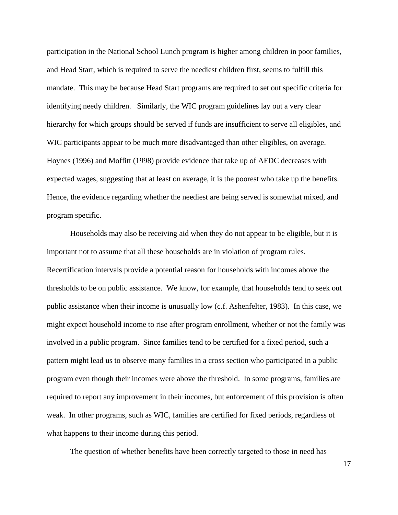participation in the National School Lunch program is higher among children in poor families, and Head Start, which is required to serve the neediest children first, seems to fulfill this mandate. This may be because Head Start programs are required to set out specific criteria for identifying needy children. Similarly, the WIC program guidelines lay out a very clear hierarchy for which groups should be served if funds are insufficient to serve all eligibles, and WIC participants appear to be much more disadvantaged than other eligibles, on average. Hoynes (1996) and Moffitt (1998) provide evidence that take up of AFDC decreases with expected wages, suggesting that at least on average, it is the poorest who take up the benefits. Hence, the evidence regarding whether the neediest are being served is somewhat mixed, and program specific.

Households may also be receiving aid when they do not appear to be eligible, but it is important not to assume that all these households are in violation of program rules. Recertification intervals provide a potential reason for households with incomes above the thresholds to be on public assistance. We know, for example, that households tend to seek out public assistance when their income is unusually low (c.f. Ashenfelter, 1983). In this case, we might expect household income to rise after program enrollment, whether or not the family was involved in a public program. Since families tend to be certified for a fixed period, such a pattern might lead us to observe many families in a cross section who participated in a public program even though their incomes were above the threshold. In some programs, families are required to report any improvement in their incomes, but enforcement of this provision is often weak. In other programs, such as WIC, families are certified for fixed periods, regardless of what happens to their income during this period.

The question of whether benefits have been correctly targeted to those in need has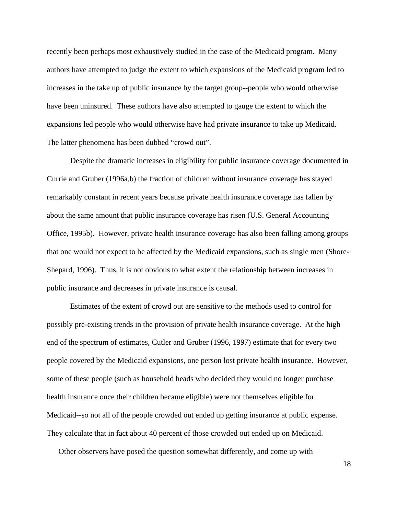recently been perhaps most exhaustively studied in the case of the Medicaid program. Many authors have attempted to judge the extent to which expansions of the Medicaid program led to increases in the take up of public insurance by the target group--people who would otherwise have been uninsured. These authors have also attempted to gauge the extent to which the expansions led people who would otherwise have had private insurance to take up Medicaid. The latter phenomena has been dubbed "crowd out".

Despite the dramatic increases in eligibility for public insurance coverage documented in Currie and Gruber (1996a,b) the fraction of children without insurance coverage has stayed remarkably constant in recent years because private health insurance coverage has fallen by about the same amount that public insurance coverage has risen (U.S. General Accounting Office, 1995b). However, private health insurance coverage has also been falling among groups that one would not expect to be affected by the Medicaid expansions, such as single men (Shore-Shepard, 1996). Thus, it is not obvious to what extent the relationship between increases in public insurance and decreases in private insurance is causal.

 Estimates of the extent of crowd out are sensitive to the methods used to control for possibly pre-existing trends in the provision of private health insurance coverage. At the high end of the spectrum of estimates, Cutler and Gruber (1996, 1997) estimate that for every two people covered by the Medicaid expansions, one person lost private health insurance. However, some of these people (such as household heads who decided they would no longer purchase health insurance once their children became eligible) were not themselves eligible for Medicaid--so not all of the people crowded out ended up getting insurance at public expense. They calculate that in fact about 40 percent of those crowded out ended up on Medicaid.

Other observers have posed the question somewhat differently, and come up with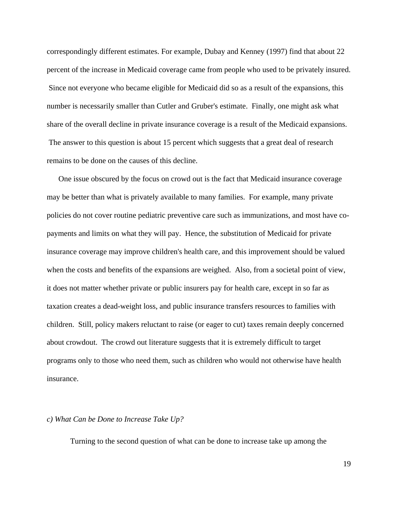correspondingly different estimates. For example, Dubay and Kenney (1997) find that about 22 percent of the increase in Medicaid coverage came from people who used to be privately insured. Since not everyone who became eligible for Medicaid did so as a result of the expansions, this number is necessarily smaller than Cutler and Gruber's estimate. Finally, one might ask what share of the overall decline in private insurance coverage is a result of the Medicaid expansions. The answer to this question is about 15 percent which suggests that a great deal of research remains to be done on the causes of this decline.

One issue obscured by the focus on crowd out is the fact that Medicaid insurance coverage may be better than what is privately available to many families. For example, many private policies do not cover routine pediatric preventive care such as immunizations, and most have copayments and limits on what they will pay. Hence, the substitution of Medicaid for private insurance coverage may improve children's health care, and this improvement should be valued when the costs and benefits of the expansions are weighed. Also, from a societal point of view, it does not matter whether private or public insurers pay for health care, except in so far as taxation creates a dead-weight loss, and public insurance transfers resources to families with children. Still, policy makers reluctant to raise (or eager to cut) taxes remain deeply concerned about crowdout. The crowd out literature suggests that it is extremely difficult to target programs only to those who need them, such as children who would not otherwise have health insurance.

#### *c) What Can be Done to Increase Take Up?*

Turning to the second question of what can be done to increase take up among the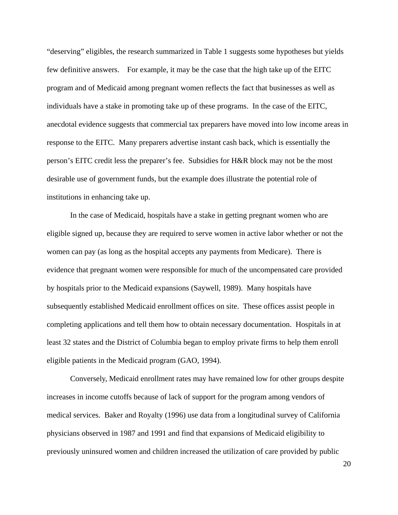"deserving" eligibles, the research summarized in Table 1 suggests some hypotheses but yields few definitive answers. For example, it may be the case that the high take up of the EITC program and of Medicaid among pregnant women reflects the fact that businesses as well as individuals have a stake in promoting take up of these programs. In the case of the EITC, anecdotal evidence suggests that commercial tax preparers have moved into low income areas in response to the EITC. Many preparers advertise instant cash back, which is essentially the person's EITC credit less the preparer's fee. Subsidies for H&R block may not be the most desirable use of government funds, but the example does illustrate the potential role of institutions in enhancing take up.

In the case of Medicaid, hospitals have a stake in getting pregnant women who are eligible signed up, because they are required to serve women in active labor whether or not the women can pay (as long as the hospital accepts any payments from Medicare). There is evidence that pregnant women were responsible for much of the uncompensated care provided by hospitals prior to the Medicaid expansions (Saywell, 1989). Many hospitals have subsequently established Medicaid enrollment offices on site. These offices assist people in completing applications and tell them how to obtain necessary documentation. Hospitals in at least 32 states and the District of Columbia began to employ private firms to help them enroll eligible patients in the Medicaid program (GAO, 1994).

Conversely, Medicaid enrollment rates may have remained low for other groups despite increases in income cutoffs because of lack of support for the program among vendors of medical services. Baker and Royalty (1996) use data from a longitudinal survey of California physicians observed in 1987 and 1991 and find that expansions of Medicaid eligibility to previously uninsured women and children increased the utilization of care provided by public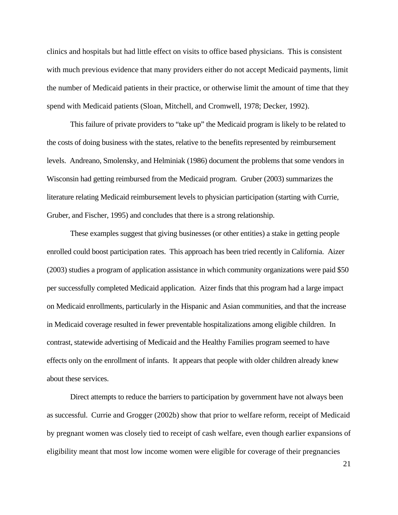clinics and hospitals but had little effect on visits to office based physicians. This is consistent with much previous evidence that many providers either do not accept Medicaid payments, limit the number of Medicaid patients in their practice, or otherwise limit the amount of time that they spend with Medicaid patients (Sloan, Mitchell, and Cromwell, 1978; Decker, 1992).

 This failure of private providers to "take up" the Medicaid program is likely to be related to the costs of doing business with the states, relative to the benefits represented by reimbursement levels. Andreano, Smolensky, and Helminiak (1986) document the problems that some vendors in Wisconsin had getting reimbursed from the Medicaid program. Gruber (2003) summarizes the literature relating Medicaid reimbursement levels to physician participation (starting with Currie, Gruber, and Fischer, 1995) and concludes that there is a strong relationship.

 These examples suggest that giving businesses (or other entities) a stake in getting people enrolled could boost participation rates. This approach has been tried recently in California. Aizer (2003) studies a program of application assistance in which community organizations were paid \$50 per successfully completed Medicaid application. Aizer finds that this program had a large impact on Medicaid enrollments, particularly in the Hispanic and Asian communities, and that the increase in Medicaid coverage resulted in fewer preventable hospitalizations among eligible children. In contrast, statewide advertising of Medicaid and the Healthy Families program seemed to have effects only on the enrollment of infants. It appears that people with older children already knew about these services.

Direct attempts to reduce the barriers to participation by government have not always been as successful. Currie and Grogger (2002b) show that prior to welfare reform, receipt of Medicaid by pregnant women was closely tied to receipt of cash welfare, even though earlier expansions of eligibility meant that most low income women were eligible for coverage of their pregnancies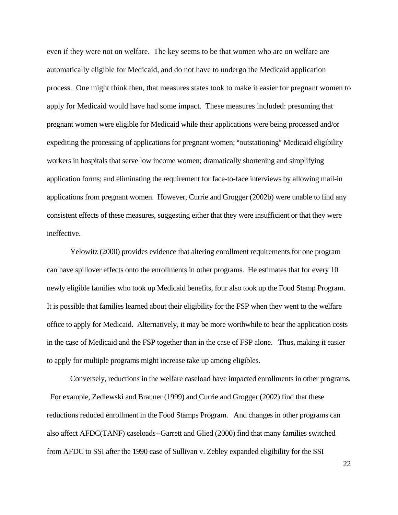even if they were not on welfare. The key seems to be that women who are on welfare are automatically eligible for Medicaid, and do not have to undergo the Medicaid application process. One might think then, that measures states took to make it easier for pregnant women to apply for Medicaid would have had some impact. These measures included: presuming that pregnant women were eligible for Medicaid while their applications were being processed and/or expediting the processing of applications for pregnant women; "outstationing" Medicaid eligibility workers in hospitals that serve low income women; dramatically shortening and simplifying application forms; and eliminating the requirement for face-to-face interviews by allowing mail-in applications from pregnant women. However, Currie and Grogger (2002b) were unable to find any consistent effects of these measures, suggesting either that they were insufficient or that they were ineffective.

 Yelowitz (2000) provides evidence that altering enrollment requirements for one program can have spillover effects onto the enrollments in other programs. He estimates that for every 10 newly eligible families who took up Medicaid benefits, four also took up the Food Stamp Program. It is possible that families learned about their eligibility for the FSP when they went to the welfare office to apply for Medicaid. Alternatively, it may be more worthwhile to bear the application costs in the case of Medicaid and the FSP together than in the case of FSP alone. Thus, making it easier to apply for multiple programs might increase take up among eligibles.

 Conversely, reductions in the welfare caseload have impacted enrollments in other programs. For example, Zedlewski and Brauner (1999) and Currie and Grogger (2002) find that these reductions reduced enrollment in the Food Stamps Program. And changes in other programs can also affect AFDC(TANF) caseloads--Garrett and Glied (2000) find that many families switched from AFDC to SSI after the 1990 case of Sullivan v. Zebley expanded eligibility for the SSI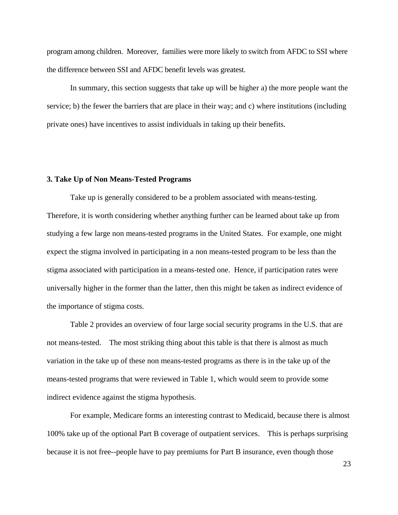program among children. Moreover, families were more likely to switch from AFDC to SSI where the difference between SSI and AFDC benefit levels was greatest.

 In summary, this section suggests that take up will be higher a) the more people want the service; b) the fewer the barriers that are place in their way; and c) where institutions (including private ones) have incentives to assist individuals in taking up their benefits.

#### **3. Take Up of Non Means-Tested Programs**

 Take up is generally considered to be a problem associated with means-testing. Therefore, it is worth considering whether anything further can be learned about take up from studying a few large non means-tested programs in the United States. For example, one might expect the stigma involved in participating in a non means-tested program to be less than the stigma associated with participation in a means-tested one. Hence, if participation rates were universally higher in the former than the latter, then this might be taken as indirect evidence of the importance of stigma costs.

 Table 2 provides an overview of four large social security programs in the U.S. that are not means-tested. The most striking thing about this table is that there is almost as much variation in the take up of these non means-tested programs as there is in the take up of the means-tested programs that were reviewed in Table 1, which would seem to provide some indirect evidence against the stigma hypothesis.

For example, Medicare forms an interesting contrast to Medicaid, because there is almost 100% take up of the optional Part B coverage of outpatient services. This is perhaps surprising because it is not free--people have to pay premiums for Part B insurance, even though those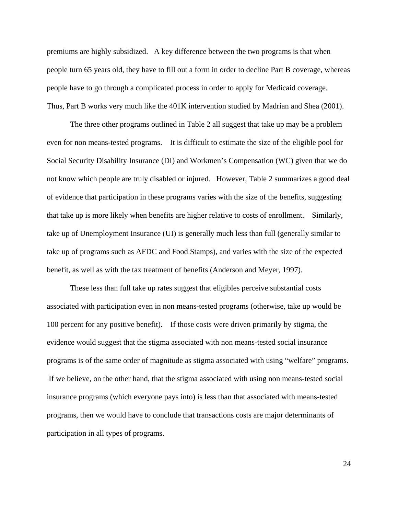premiums are highly subsidized. A key difference between the two programs is that when people turn 65 years old, they have to fill out a form in order to decline Part B coverage, whereas people have to go through a complicated process in order to apply for Medicaid coverage. Thus, Part B works very much like the 401K intervention studied by Madrian and Shea (2001).

 The three other programs outlined in Table 2 all suggest that take up may be a problem even for non means-tested programs. It is difficult to estimate the size of the eligible pool for Social Security Disability Insurance (DI) and Workmen's Compensation (WC) given that we do not know which people are truly disabled or injured. However, Table 2 summarizes a good deal of evidence that participation in these programs varies with the size of the benefits, suggesting that take up is more likely when benefits are higher relative to costs of enrollment. Similarly, take up of Unemployment Insurance (UI) is generally much less than full (generally similar to take up of programs such as AFDC and Food Stamps), and varies with the size of the expected benefit, as well as with the tax treatment of benefits (Anderson and Meyer, 1997).

 These less than full take up rates suggest that eligibles perceive substantial costs associated with participation even in non means-tested programs (otherwise, take up would be 100 percent for any positive benefit). If those costs were driven primarily by stigma, the evidence would suggest that the stigma associated with non means-tested social insurance programs is of the same order of magnitude as stigma associated with using "welfare" programs. If we believe, on the other hand, that the stigma associated with using non means-tested social insurance programs (which everyone pays into) is less than that associated with means-tested programs, then we would have to conclude that transactions costs are major determinants of participation in all types of programs.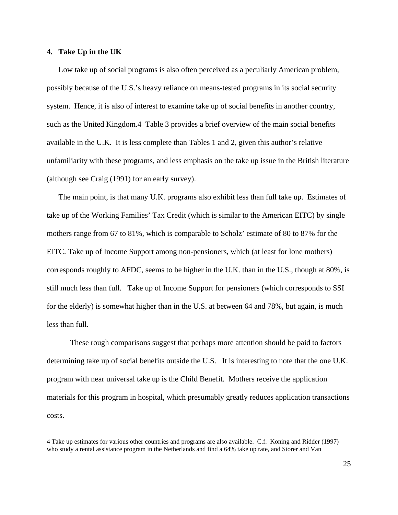### **4. Take Up in the UK**

 $\overline{a}$ 

Low take up of social programs is also often perceived as a peculiarly American problem, possibly because of the U.S.'s heavy reliance on means-tested programs in its social security system. Hence, it is also of interest to examine take up of social benefits in another country, such as the United Kingdom.4 Table 3 provides a brief overview of the main social benefits available in the U.K. It is less complete than Tables 1 and 2, given this author's relative unfamiliarity with these programs, and less emphasis on the take up issue in the British literature (although see Craig (1991) for an early survey).

The main point, is that many U.K. programs also exhibit less than full take up. Estimates of take up of the Working Families' Tax Credit (which is similar to the American EITC) by single mothers range from 67 to 81%, which is comparable to Scholz' estimate of 80 to 87% for the EITC. Take up of Income Support among non-pensioners, which (at least for lone mothers) corresponds roughly to AFDC, seems to be higher in the U.K. than in the U.S., though at 80%, is still much less than full. Take up of Income Support for pensioners (which corresponds to SSI for the elderly) is somewhat higher than in the U.S. at between 64 and 78%, but again, is much less than full.

 These rough comparisons suggest that perhaps more attention should be paid to factors determining take up of social benefits outside the U.S. It is interesting to note that the one U.K. program with near universal take up is the Child Benefit. Mothers receive the application materials for this program in hospital, which presumably greatly reduces application transactions costs.

<sup>4</sup> Take up estimates for various other countries and programs are also available. C.f. Koning and Ridder (1997) who study a rental assistance program in the Netherlands and find a 64% take up rate, and Storer and Van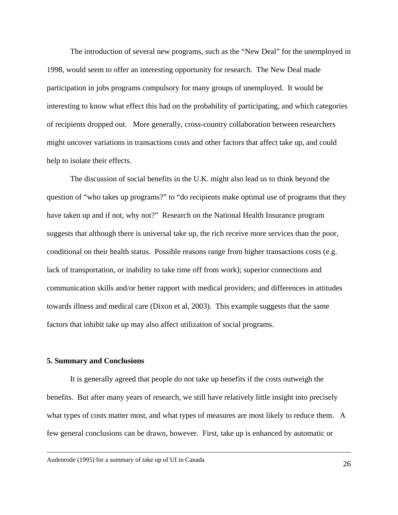The introduction of several new programs, such as the "New Deal" for the unemployed in 1998, would seem to offer an interesting opportunity for research. The New Deal made participation in jobs programs compulsory for many groups of unemployed. It would be interesting to know what effect this had on the probability of participating, and which categories of recipients dropped out. More generally, cross-country collaboration between researchers might uncover variations in transactions costs and other factors that affect take up, and could help to isolate their effects.

 The discussion of social benefits in the U.K. might also lead us to think beyond the question of "who takes up programs?" to "do recipients make optimal use of programs that they have taken up and if not, why not?" Research on the National Health Insurance program suggests that although there is universal take up, the rich receive more services than the poor, conditional on their health status. Possible reasons range from higher transactions costs (e.g. lack of transportation, or inability to take time off from work); superior connections and communication skills and/or better rapport with medical providers; and differences in attitudes towards illness and medical care (Dixon et al, 2003). This example suggests that the same factors that inhibit take up may also affect utilization of social programs.

#### **5. Summary and Conclusions**

 It is generally agreed that people do not take up benefits if the costs outweigh the benefits. But after many years of research, we still have relatively little insight into precisely what types of costs matter most, and what types of measures are most likely to reduce them. A few general conclusions can be drawn, however. First, take up is enhanced by automatic or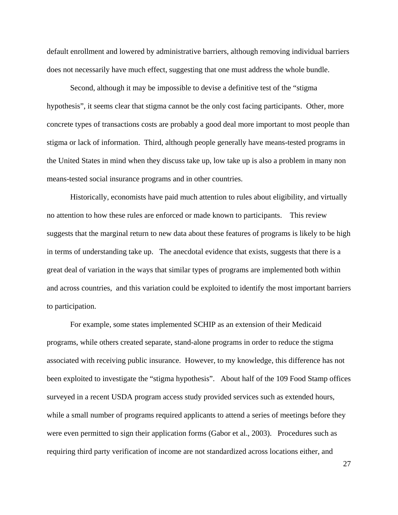default enrollment and lowered by administrative barriers, although removing individual barriers does not necessarily have much effect, suggesting that one must address the whole bundle.

Second, although it may be impossible to devise a definitive test of the "stigma hypothesis", it seems clear that stigma cannot be the only cost facing participants. Other, more concrete types of transactions costs are probably a good deal more important to most people than stigma or lack of information. Third, although people generally have means-tested programs in the United States in mind when they discuss take up, low take up is also a problem in many non means-tested social insurance programs and in other countries.

Historically, economists have paid much attention to rules about eligibility, and virtually no attention to how these rules are enforced or made known to participants. This review suggests that the marginal return to new data about these features of programs is likely to be high in terms of understanding take up. The anecdotal evidence that exists, suggests that there is a great deal of variation in the ways that similar types of programs are implemented both within and across countries, and this variation could be exploited to identify the most important barriers to participation.

For example, some states implemented SCHIP as an extension of their Medicaid programs, while others created separate, stand-alone programs in order to reduce the stigma associated with receiving public insurance. However, to my knowledge, this difference has not been exploited to investigate the "stigma hypothesis". About half of the 109 Food Stamp offices surveyed in a recent USDA program access study provided services such as extended hours, while a small number of programs required applicants to attend a series of meetings before they were even permitted to sign their application forms (Gabor et al., 2003). Procedures such as requiring third party verification of income are not standardized across locations either, and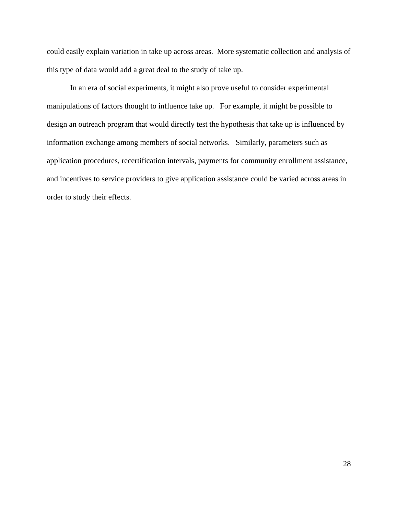could easily explain variation in take up across areas. More systematic collection and analysis of this type of data would add a great deal to the study of take up.

In an era of social experiments, it might also prove useful to consider experimental manipulations of factors thought to influence take up. For example, it might be possible to design an outreach program that would directly test the hypothesis that take up is influenced by information exchange among members of social networks. Similarly, parameters such as application procedures, recertification intervals, payments for community enrollment assistance, and incentives to service providers to give application assistance could be varied across areas in order to study their effects.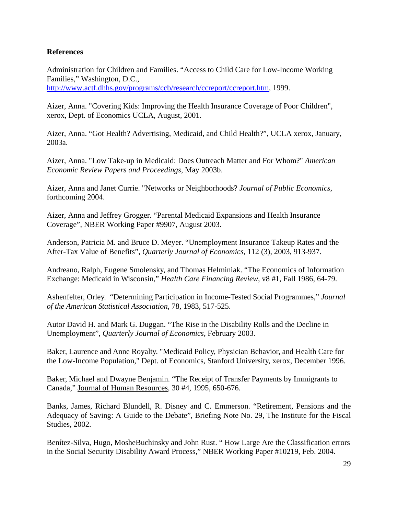### **References**

Administration for Children and Families. "Access to Child Care for Low-Income Working Families," Washington, D.C.,

http://www.actf.dhhs.gov/programs/ccb/research/ccreport/ccreport.htm, 1999.

Aizer, Anna. "Covering Kids: Improving the Health Insurance Coverage of Poor Children", xerox, Dept. of Economics UCLA, August, 2001.

Aizer, Anna. "Got Health? Advertising, Medicaid, and Child Health?", UCLA xerox, January, 2003a.

Aizer, Anna. "Low Take-up in Medicaid: Does Outreach Matter and For Whom?" *American Economic Review Papers and Proceedings*, May 2003b.

Aizer, Anna and Janet Currie. "Networks or Neighborhoods? *Journal of Public Economics*, forthcoming 2004.

Aizer, Anna and Jeffrey Grogger. "Parental Medicaid Expansions and Health Insurance Coverage", NBER Working Paper #9907, August 2003.

Anderson, Patricia M. and Bruce D. Meyer. "Unemployment Insurance Takeup Rates and the After-Tax Value of Benefits", *Quarterly Journal of Economics*, 112 (3), 2003, 913-937.

Andreano, Ralph, Eugene Smolensky, and Thomas Helminiak. "The Economics of Information Exchange: Medicaid in Wisconsin," *Health Care Financing Review*, v8 #1, Fall 1986, 64-79.

Ashenfelter, Orley. "Determining Participation in Income-Tested Social Programmes," *Journal of the American Statistical Association*, 78, 1983, 517-525.

Autor David H. and Mark G. Duggan. "The Rise in the Disability Rolls and the Decline in Unemployment", *Quarterly Journal of Economics*, February 2003.

Baker, Laurence and Anne Royalty. "Medicaid Policy, Physician Behavior, and Health Care for the Low-Income Population," Dept. of Economics, Stanford University, xerox, December 1996.

Baker, Michael and Dwayne Benjamin. "The Receipt of Transfer Payments by Immigrants to Canada," Journal of Human Resources, 30 #4, 1995, 650-676.

Banks, James, Richard Blundell, R. Disney and C. Emmerson. "Retirement, Pensions and the Adequacy of Saving: A Guide to the Debate", Briefing Note No. 29, The Institute for the Fiscal Studies, 2002.

Benítez-Silva, Hugo, MosheBuchinsky and John Rust. " How Large Are the Classification errors in the Social Security Disability Award Process," NBER Working Paper #10219, Feb. 2004.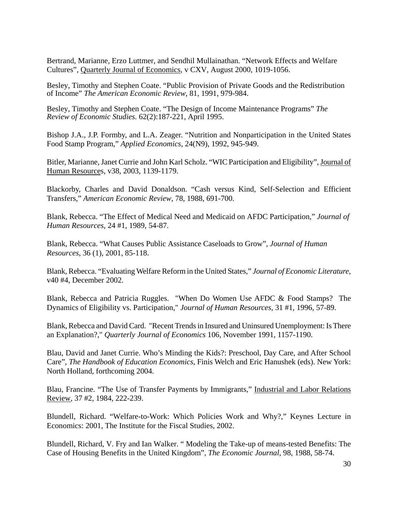Bertrand, Marianne, Erzo Luttmer, and Sendhil Mullainathan. "Network Effects and Welfare Cultures", Quarterly Journal of Economics, v CXV, August 2000, 1019-1056.

Besley, Timothy and Stephen Coate. "Public Provision of Private Goods and the Redistribution of Income" *The American Economic Review*, 81, 1991, 979-984.

Besley, Timothy and Stephen Coate. "The Design of Income Maintenance Programs" *The Review of Economic Studies.* 62(2):187-221, April 1995.

Bishop J.A., J.P. Formby, and L.A. Zeager. "Nutrition and Nonparticipation in the United States Food Stamp Program," *Applied Economics*, 24(N9), 1992, 945-949.

Bitler, Marianne, Janet Currie and John Karl Scholz. "WIC Participation and Eligibility", Journal of Human Resources, v38, 2003, 1139-1179.

Blackorby, Charles and David Donaldson. "Cash versus Kind, Self-Selection and Efficient Transfers," *American Economic Review*, 78, 1988, 691-700.

Blank, Rebecca. "The Effect of Medical Need and Medicaid on AFDC Participation," *Journal of Human Resources*, 24 #1, 1989, 54-87.

Blank, Rebecca. "What Causes Public Assistance Caseloads to Grow", *Journal of Human Resources*, 36 (1), 2001, 85-118.

Blank, Rebecca. "Evaluating Welfare Reform in the United States," *Journal of Economic Literature*, v40 #4, December 2002.

Blank, Rebecca and Patricia Ruggles. "When Do Women Use AFDC & Food Stamps? The Dynamics of Eligibility vs. Participation," *Journal of Human Resources*, 31 #1, 1996, 57-89.

Blank, Rebecca and David Card. "Recent Trends in Insured and Uninsured Unemployment: Is There an Explanation?," *Quarterly Journal of Economics* 106, November 1991, 1157-1190.

Blau, David and Janet Currie. Who's Minding the Kids?: Preschool, Day Care, and After School Care", *The Handbook of Education Economics*, Finis Welch and Eric Hanushek (eds). New York: North Holland, forthcoming 2004.

Blau, Francine. "The Use of Transfer Payments by Immigrants," Industrial and Labor Relations Review, 37 #2, 1984, 222-239.

Blundell, Richard. "Welfare-to-Work: Which Policies Work and Why?," Keynes Lecture in Economics: 2001, The Institute for the Fiscal Studies, 2002.

Blundell, Richard, V. Fry and Ian Walker. " Modeling the Take-up of means-tested Benefits: The Case of Housing Benefits in the United Kingdom", *The Economic Journal*, 98, 1988, 58-74.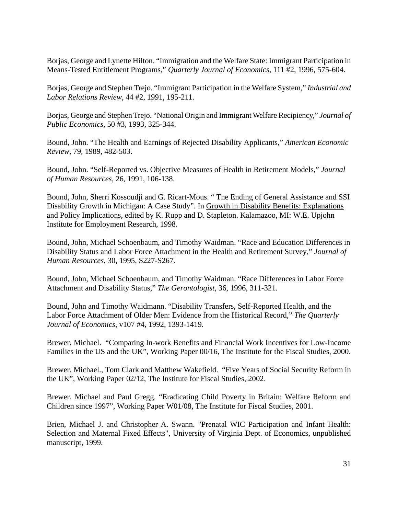Borjas, George and Lynette Hilton. "Immigration and the Welfare State: Immigrant Participation in Means-Tested Entitlement Programs," *Quarterly Journal of Economics*, 111 #2, 1996, 575-604.

Borjas, George and Stephen Trejo. "Immigrant Participation in the Welfare System," *Industrial and Labor Relations Review*, 44 #2, 1991, 195-211.

Borjas, George and Stephen Trejo. "National Origin and Immigrant Welfare Recipiency," *Journal of Public Economics*, 50 #3, 1993, 325-344.

Bound, John. "The Health and Earnings of Rejected Disability Applicants," *American Economic Review*, 79, 1989, 482-503.

Bound, John. "Self-Reported vs. Objective Measures of Health in Retirement Models," *Journal of Human Resources*, 26, 1991, 106-138.

Bound, John, Sherri Kossoudji and G. Ricart-Mous. " The Ending of General Assistance and SSI Disability Growth in Michigan: A Case Study". In Growth in Disability Benefits: Explanations and Policy Implications, edited by K. Rupp and D. Stapleton. Kalamazoo, MI: W.E. Upjohn Institute for Employment Research, 1998.

Bound, John, Michael Schoenbaum, and Timothy Waidman. "Race and Education Differences in Disability Status and Labor Force Attachment in the Health and Retirement Survey," *Journal of Human Resources*, 30, 1995, S227-S267.

Bound, John, Michael Schoenbaum, and Timothy Waidman. "Race Differences in Labor Force Attachment and Disability Status," *The Gerontologist*, 36, 1996, 311-321.

Bound, John and Timothy Waidmann. "Disability Transfers, Self-Reported Health, and the Labor Force Attachment of Older Men: Evidence from the Historical Record," *The Quarterly Journal of Economics*, v107 #4, 1992, 1393-1419.

Brewer, Michael. "Comparing In-work Benefits and Financial Work Incentives for Low-Income Families in the US and the UK", Working Paper 00/16, The Institute for the Fiscal Studies, 2000.

Brewer, Michael., Tom Clark and Matthew Wakefield. "Five Years of Social Security Reform in the UK", Working Paper 02/12, The Institute for Fiscal Studies, 2002.

Brewer, Michael and Paul Gregg. "Eradicating Child Poverty in Britain: Welfare Reform and Children since 1997", Working Paper W01/08, The Institute for Fiscal Studies, 2001.

Brien, Michael J. and Christopher A. Swann. "Prenatal WIC Participation and Infant Health: Selection and Maternal Fixed Effects", University of Virginia Dept. of Economics, unpublished manuscript, 1999.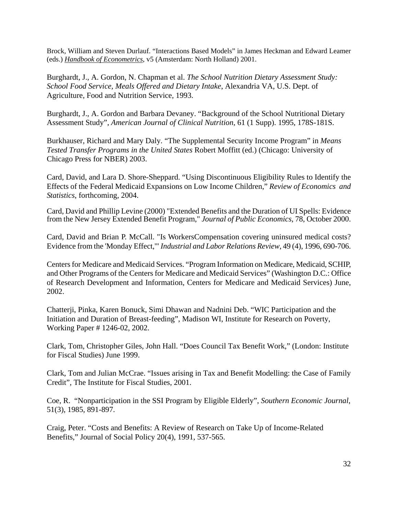Brock, William and Steven Durlauf. "Interactions Based Models" in James Heckman and Edward Leamer (eds.) *Handbook of Econometrics*, v5 (Amsterdam: North Holland) 2001.

Burghardt, J., A. Gordon, N. Chapman et al. *The School Nutrition Dietary Assessment Study: School Food Service, Meals Offered and Dietary Intake*, Alexandria VA, U.S. Dept. of Agriculture, Food and Nutrition Service, 1993.

Burghardt, J., A. Gordon and Barbara Devaney. "Background of the School Nutritional Dietary Assessment Study", *American Journal of Clinical Nutrition*, 61 (1 Supp). 1995, 178S-181S.

Burkhauser, Richard and Mary Daly. "The Supplemental Security Income Program" in *Means Tested Transfer Programs in the United States* Robert Moffitt (ed.) (Chicago: University of Chicago Press for NBER) 2003.

Card, David, and Lara D. Shore-Sheppard. "Using Discontinuous Eligibility Rules to Identify the Effects of the Federal Medicaid Expansions on Low Income Children," *Review of Economics and Statistics*, forthcoming, 2004.

Card, David and Phillip Levine (2000) "Extended Benefits and the Duration of UI Spells: Evidence from the New Jersey Extended Benefit Program," *Journal of Public Economics*, 78, October 2000.

Card, David and Brian P. McCall. "Is WorkersCompensation covering uninsured medical costs? Evidence from the 'Monday Effect,'" *Industrial and Labor Relations Review*, 49 (4), 1996, 690-706.

Centers for Medicare and Medicaid Services. "Program Information on Medicare, Medicaid, SCHIP, and Other Programs of the Centers for Medicare and Medicaid Services" (Washington D.C.: Office of Research Development and Information, Centers for Medicare and Medicaid Services) June, 2002.

Chatterji, Pinka, Karen Bonuck, Simi Dhawan and Nadnini Deb. "WIC Participation and the Initiation and Duration of Breast-feeding", Madison WI, Institute for Research on Poverty, Working Paper # 1246-02, 2002.

Clark, Tom, Christopher Giles, John Hall. "Does Council Tax Benefit Work," (London: Institute for Fiscal Studies) June 1999.

Clark, Tom and Julian McCrae. "Issues arising in Tax and Benefit Modelling: the Case of Family Credit", The Institute for Fiscal Studies, 2001.

Coe, R. "Nonparticipation in the SSI Program by Eligible Elderly", *Southern Economic Journal*, 51(3), 1985, 891-897.

Craig, Peter. "Costs and Benefits: A Review of Research on Take Up of Income-Related Benefits," Journal of Social Policy 20(4), 1991, 537-565.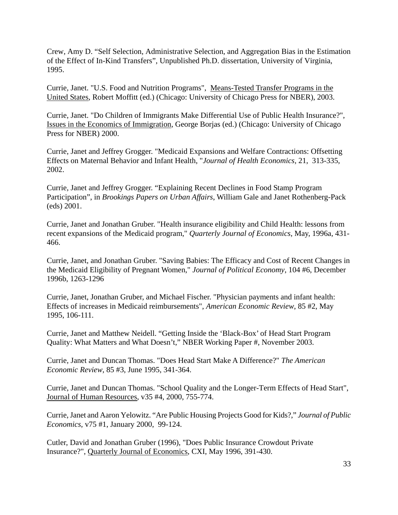Crew, Amy D. "Self Selection, Administrative Selection, and Aggregation Bias in the Estimation of the Effect of In-Kind Transfers", Unpublished Ph.D. dissertation, University of Virginia, 1995.

Currie, Janet. "U.S. Food and Nutrition Programs", Means-Tested Transfer Programs in the United States, Robert Moffitt (ed.) (Chicago: University of Chicago Press for NBER), 2003.

Currie, Janet. "Do Children of Immigrants Make Differential Use of Public Health Insurance?", Issues in the Economics of Immigration, George Borjas (ed.) (Chicago: University of Chicago Press for NBER) 2000.

Currie, Janet and Jeffrey Grogger. "Medicaid Expansions and Welfare Contractions: Offsetting Effects on Maternal Behavior and Infant Health, "*Journal of Health Economics,* 21, 313-335, 2002.

Currie, Janet and Jeffrey Grogger. "Explaining Recent Declines in Food Stamp Program Participation", in *Brookings Papers on Urban Affairs*, William Gale and Janet Rothenberg-Pack (eds) 2001.

Currie, Janet and Jonathan Gruber. "Health insurance eligibility and Child Health: lessons from recent expansions of the Medicaid program," *Quarterly Journal of Economics*, May, 1996a, 431- 466.

Currie, Janet, and Jonathan Gruber. "Saving Babies: The Efficacy and Cost of Recent Changes in the Medicaid Eligibility of Pregnant Women," *Journal of Political Economy*, 104 #6, December 1996b, 1263-1296

Currie, Janet, Jonathan Gruber, and Michael Fischer. "Physician payments and infant health: Effects of increases in Medicaid reimbursements", *American Economic Review*, 85 #2, May 1995, 106-111.

Currie, Janet and Matthew Neidell. "Getting Inside the 'Black-Box' of Head Start Program Quality: What Matters and What Doesn't," NBER Working Paper #, November 2003.

Currie, Janet and Duncan Thomas. "Does Head Start Make A Difference?" *The American Economic Review*, 85 #3, June 1995, 341-364.

Currie, Janet and Duncan Thomas. "School Quality and the Longer-Term Effects of Head Start", Journal of Human Resources, v35 #4, 2000, 755-774.

Currie, Janet and Aaron Yelowitz. "Are Public Housing Projects Good for Kids?," *Journal of Public Economics*, v75 #1, January 2000, 99-124.

Cutler, David and Jonathan Gruber (1996), "Does Public Insurance Crowdout Private Insurance?", Quarterly Journal of Economics, CXI, May 1996, 391-430.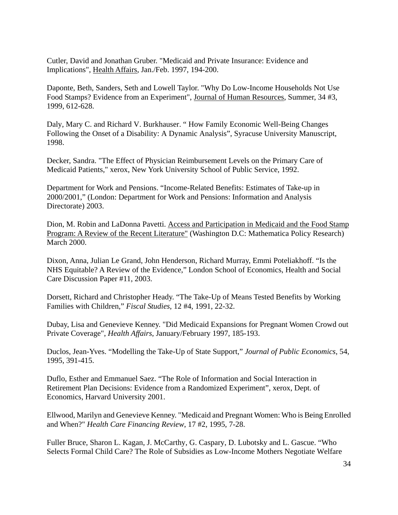Cutler, David and Jonathan Gruber. "Medicaid and Private Insurance: Evidence and Implications", Health Affairs, Jan./Feb. 1997, 194-200.

Daponte, Beth, Sanders, Seth and Lowell Taylor. "Why Do Low-Income Households Not Use Food Stamps? Evidence from an Experiment", Journal of Human Resources, Summer, 34 #3, 1999, 612-628.

Daly, Mary C. and Richard V. Burkhauser. " How Family Economic Well-Being Changes Following the Onset of a Disability: A Dynamic Analysis", Syracuse University Manuscript, 1998.

Decker, Sandra. "The Effect of Physician Reimbursement Levels on the Primary Care of Medicaid Patients," xerox, New York University School of Public Service, 1992.

Department for Work and Pensions. "Income-Related Benefits: Estimates of Take-up in 2000/2001," (London: Department for Work and Pensions: Information and Analysis Directorate) 2003.

Dion, M. Robin and LaDonna Pavetti. Access and Participation in Medicaid and the Food Stamp Program: A Review of the Recent Literature" (Washington D.C: Mathematica Policy Research) March 2000.

Dixon, Anna, Julian Le Grand, John Henderson, Richard Murray, Emmi Poteliakhoff. "Is the NHS Equitable? A Review of the Evidence," London School of Economics, Health and Social Care Discussion Paper #11, 2003.

Dorsett, Richard and Christopher Heady. "The Take-Up of Means Tested Benefits by Working Families with Children," *Fiscal Studies*, 12 #4, 1991, 22-32.

Dubay, Lisa and Genevieve Kenney. "Did Medicaid Expansions for Pregnant Women Crowd out Private Coverage", *Health Affairs*, January/February 1997, 185-193.

Duclos, Jean-Yves. "Modelling the Take-Up of State Support," *Journal of Public Economics*, 54, 1995, 391-415.

Duflo, Esther and Emmanuel Saez. "The Role of Information and Social Interaction in Retirement Plan Decisions: Evidence from a Randomized Experiment", xerox, Dept. of Economics, Harvard University 2001.

Ellwood, Marilyn and Genevieve Kenney. "Medicaid and Pregnant Women: Who is Being Enrolled and When?" *Health Care Financing Review*, 17 #2, 1995, 7-28.

Fuller Bruce, Sharon L. Kagan, J. McCarthy, G. Caspary, D. Lubotsky and L. Gascue. "Who Selects Formal Child Care? The Role of Subsidies as Low-Income Mothers Negotiate Welfare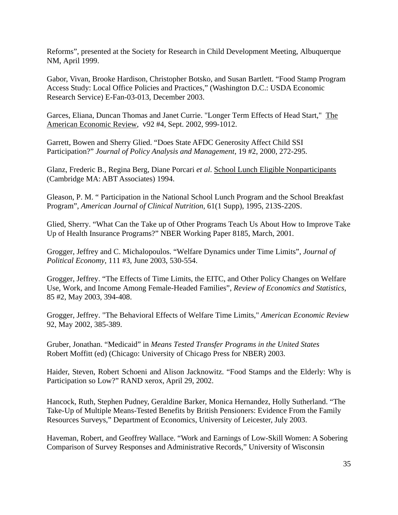Reforms", presented at the Society for Research in Child Development Meeting, Albuquerque NM, April 1999.

Gabor, Vivan, Brooke Hardison, Christopher Botsko, and Susan Bartlett. "Food Stamp Program Access Study: Local Office Policies and Practices," (Washington D.C.: USDA Economic Research Service) E-Fan-03-013, December 2003.

Garces, Eliana, Duncan Thomas and Janet Currie. "Longer Term Effects of Head Start," The American Economic Review, v92 #4, Sept. 2002, 999-1012.

Garrett, Bowen and Sherry Glied. "Does State AFDC Generosity Affect Child SSI Participation?" *Journal of Policy Analysis and Management*, 19 #2, 2000, 272-295.

Glanz, Frederic B., Regina Berg, Diane Porcari *et al*. School Lunch Eligible Nonparticipants (Cambridge MA: ABT Associates) 1994.

Gleason, P. M. " Participation in the National School Lunch Program and the School Breakfast Program", *American Journal of Clinical Nutrition*, 61(1 Supp), 1995, 213S-220S.

Glied, Sherry. "What Can the Take up of Other Programs Teach Us About How to Improve Take Up of Health Insurance Programs?" NBER Working Paper 8185, March, 2001.

Grogger, Jeffrey and C. Michalopoulos. "Welfare Dynamics under Time Limits", *Journal of Political Economy*, 111 #3, June 2003, 530-554.

Grogger, Jeffrey. "The Effects of Time Limits, the EITC, and Other Policy Changes on Welfare Use, Work, and Income Among Female-Headed Families", *Review of Economics and Statistics*, 85 #2, May 2003, 394-408.

Grogger, Jeffrey. "The Behavioral Effects of Welfare Time Limits," *American Economic Review* 92, May 2002, 385-389.

Gruber, Jonathan. "Medicaid" in *Means Tested Transfer Programs in the United States* Robert Moffitt (ed) (Chicago: University of Chicago Press for NBER) 2003.

Haider, Steven, Robert Schoeni and Alison Jacknowitz. "Food Stamps and the Elderly: Why is Participation so Low?" RAND xerox, April 29, 2002.

Hancock, Ruth, Stephen Pudney, Geraldine Barker, Monica Hernandez, Holly Sutherland. "The Take-Up of Multiple Means-Tested Benefits by British Pensioners: Evidence From the Family Resources Surveys," Department of Economics, University of Leicester, July 2003.

Haveman, Robert, and Geoffrey Wallace. "Work and Earnings of Low-Skill Women: A Sobering Comparison of Survey Responses and Administrative Records," University of Wisconsin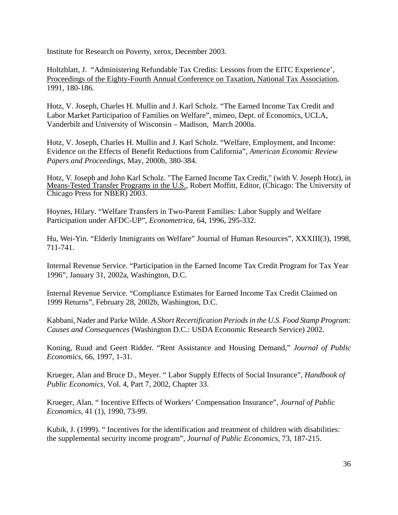Institute for Research on Poverty, xerox, December 2003.

Holtzblatt, J. "Administering Refundable Tax Credits: Lessons from the EITC Experience', Proceedings of the Eighty-Fourth Annual Conference on Taxation, National Tax Association, 1991, 180-186.

Hotz, V. Joseph, Charles H. Mullin and J. Karl Scholz. "The Earned Income Tax Credit and Labor Market Participation of Families on Welfare", mimeo, Dept. of Economics, UCLA, Vanderbilt and University of Wisconsin – Madison, March 2000a.

Hotz, V. Joseph, Charles H. Mullin and J. Karl Scholz. "Welfare, Employment, and Income: Evidence on the Effects of Benefit Reductions from California", *American Economic Review Papers and Proceedings*, May, 2000b, 380-384.

Hotz, V. Joseph and John Karl Scholz. "The Earned Income Tax Credit," (with V. Joseph Hotz), in Means-Tested Transfer Programs in the U.S., Robert Moffitt, Editor, (Chicago: The University of Chicago Press for NBER) 2003.

Hoynes, Hilary. "Welfare Transfers in Two-Parent Families: Labor Supply and Welfare Participation under AFDC-UP", *Econometrica*, 64, 1996, 295-332.

Hu, Wei-Yin. "Elderly Immigrants on Welfare" Journal of Human Resources", XXXIII(3), 1998, 711-741.

Internal Revenue Service. "Participation in the Earned Income Tax Credit Program for Tax Year 1996", January 31, 2002a, Washington, D.C.

Internal Revenue Service. "Compliance Estimates for Earned Income Tax Credit Claimed on 1999 Returns", February 28, 2002b, Washington, D.C.

Kabbani, Nader and Parke Wilde. *A Short Recertification Periods in the U.S. Food Stamp Program: Causes and Consequences* (Washington D.C.: USDA Economic Research Service) 2002.

Koning, Ruud and Geert Ridder. "Rent Assistance and Housing Demand," *Journal of Public Economics*, 66, 1997, 1-31.

Krueger, Alan and Bruce D., Meyer. " Labor Supply Effects of Social Insurance", *Handbook of Public Economics*, Vol. 4, Part 7, 2002, Chapter 33.

Krueger, Alan. " Incentive Effects of Workers' Compensation Insurance", *Journal of Public Economics*, 41 (1), 1990, 73-99.

Kubik, J. (1999). " Incentives for the identification and treatment of children with disabilities: the supplemental security income program", *Journal of Public Economics*, 73, 187-215.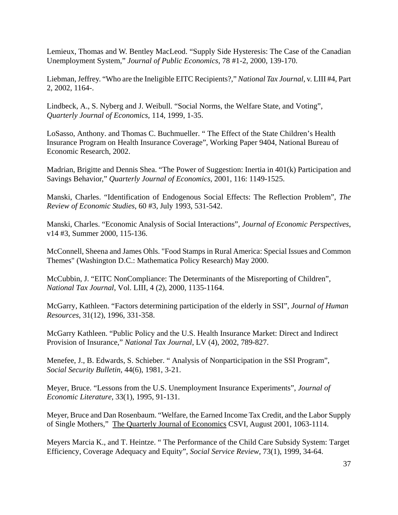Lemieux, Thomas and W. Bentley MacLeod. "Supply Side Hysteresis: The Case of the Canadian Unemployment System," *Journal of Public Economics*, 78 #1-2, 2000, 139-170.

Liebman, Jeffrey. "Who are the Ineligible EITC Recipients?," *National Tax Journal*, v. LIII #4, Part 2, 2002, 1164-.

Lindbeck, A., S. Nyberg and J. Weibull. "Social Norms, the Welfare State, and Voting", *Quarterly Journal of Economics*, 114, 1999, 1-35.

LoSasso, Anthony. and Thomas C. Buchmueller. " The Effect of the State Children's Health Insurance Program on Health Insurance Coverage", Working Paper 9404, National Bureau of Economic Research, 2002.

Madrian, Brigitte and Dennis Shea. "The Power of Suggestion: Inertia in 401(k) Participation and Savings Behavior," *Quarterly Journal of Economics*, 2001, 116: 1149-1525.

Manski, Charles. "Identification of Endogenous Social Effects: The Reflection Problem", *The Review of Economic Studies*, 60 #3, July 1993, 531-542.

Manski, Charles. "Economic Analysis of Social Interactions", *Journal of Economic Perspectives*, v14 #3, Summer 2000, 115-136.

McConnell, Sheena and James Ohls. "Food Stamps in Rural America: Special Issues and Common Themes" (Washington D.C.: Mathematica Policy Research) May 2000.

McCubbin, J. "EITC NonCompliance: The Determinants of the Misreporting of Children", *National Tax Journal*, Vol. LIII, 4 (2), 2000, 1135-1164.

McGarry, Kathleen. "Factors determining participation of the elderly in SSI", *Journal of Human Resources*, 31(12), 1996, 331-358.

McGarry Kathleen. "Public Policy and the U.S. Health Insurance Market: Direct and Indirect Provision of Insurance," *National Tax Journal*, LV (4), 2002, 789-827.

Menefee, J., B. Edwards, S. Schieber. " Analysis of Nonparticipation in the SSI Program", *Social Security Bulletin*, 44(6), 1981, 3-21.

Meyer, Bruce. "Lessons from the U.S. Unemployment Insurance Experiments", *Journal of Economic Literature*, 33(1), 1995, 91-131.

Meyer, Bruce and Dan Rosenbaum. "Welfare, the Earned Income Tax Credit, and the Labor Supply of Single Mothers," The Quarterly Journal of Economics CSVI, August 2001, 1063-1114.

Meyers Marcia K., and T. Heintze. " The Performance of the Child Care Subsidy System: Target Efficiency, Coverage Adequacy and Equity", *Social Service Review*, 73(1), 1999, 34-64.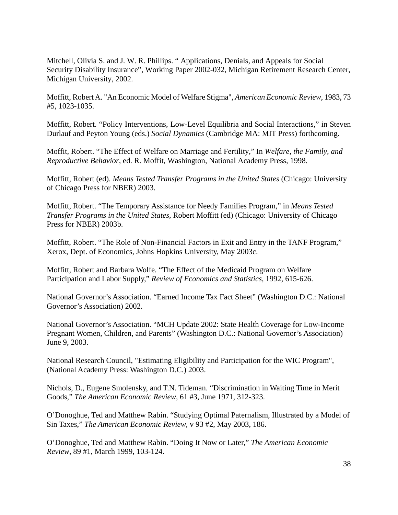Mitchell, Olivia S. and J. W. R. Phillips. " Applications, Denials, and Appeals for Social Security Disability Insurance", Working Paper 2002-032, Michigan Retirement Research Center, Michigan University, 2002.

Moffitt, Robert A. "An Economic Model of Welfare Stigma", *American Economic Review*, 1983, 73 #5, 1023-1035.

Moffitt, Robert. "Policy Interventions, Low-Level Equilibria and Social Interactions," in Steven Durlauf and Peyton Young (eds.) *Social Dynamics* (Cambridge MA: MIT Press) forthcoming.

Moffit, Robert. "The Effect of Welfare on Marriage and Fertility," In *Welfare, the Family, and Reproductive Behavior*, ed. R. Moffit, Washington, National Academy Press, 1998.

Moffitt, Robert (ed). *Means Tested Transfer Programs in the United States* (Chicago: University of Chicago Press for NBER) 2003.

Moffitt, Robert. "The Temporary Assistance for Needy Families Program," in *Means Tested Transfer Programs in the United States,* Robert Moffitt (ed) (Chicago: University of Chicago Press for NBER) 2003b.

Moffitt, Robert. "The Role of Non-Financial Factors in Exit and Entry in the TANF Program," Xerox, Dept. of Economics, Johns Hopkins University, May 2003c.

Moffitt, Robert and Barbara Wolfe. "The Effect of the Medicaid Program on Welfare Participation and Labor Supply," *Review of Economics and Statistics*, 1992, 615-626.

National Governor's Association. "Earned Income Tax Fact Sheet" (Washington D.C.: National Governor's Association) 2002.

National Governor's Association. "MCH Update 2002: State Health Coverage for Low-Income Pregnant Women, Children, and Parents" (Washington D.C.: National Governor's Association) June 9, 2003.

National Research Council, "Estimating Eligibility and Participation for the WIC Program", (National Academy Press: Washington D.C.) 2003.

Nichols, D., Eugene Smolensky, and T.N. Tideman. "Discrimination in Waiting Time in Merit Goods," *The American Economic Review*, 61 #3, June 1971, 312-323.

O'Donoghue, Ted and Matthew Rabin. "Studying Optimal Paternalism, Illustrated by a Model of Sin Taxes," *The American Economic Review*, v 93 #2, May 2003, 186.

O'Donoghue, Ted and Matthew Rabin. "Doing It Now or Later," *The American Economic Review*, 89 #1, March 1999, 103-124.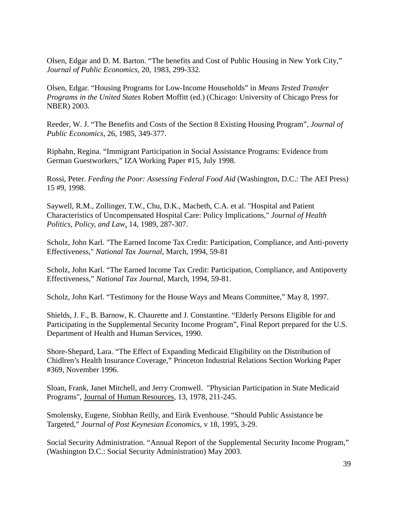Olsen, Edgar and D. M. Barton. "The benefits and Cost of Public Housing in New York City," *Journal of Public Economics*, 20, 1983, 299-332.

Olsen, Edgar. "Housing Programs for Low-Income Households" in *Means Tested Transfer Programs in the United States* Robert Moffitt (ed.) (Chicago: University of Chicago Press for NBER) 2003.

Reeder, W. J. "The Benefits and Costs of the Section 8 Existing Housing Program", *Journal of Public Economics*, 26, 1985, 349-377.

Riphahn, Regina. "Immigrant Participation in Social Assistance Programs: Evidence from German Guestworkers," IZA Working Paper #15, July 1998.

Rossi, Peter. *Feeding the Poor: Assessing Federal Food Aid* (Washington, D.C.: The AEI Press) 15 #9, 1998.

Saywell, R.M., Zollinger, T.W., Chu, D.K., Macbeth, C.A. et al. "Hospital and Patient Characteristics of Uncompensated Hospital Care: Policy Implications," *Journal of Health Politics, Policy, and Law*, 14, 1989, 287-307.

Scholz, John Karl. "The Earned Income Tax Credit: Participation, Compliance, and Anti-poverty Effectiveness," *National Tax Journal*, March, 1994, 59-81

Scholz, John Karl. "The Earned Income Tax Credit: Participation, Compliance, and Antipoverty Effectiveness," *National Tax Journal*, March, 1994, 59-81.

Scholz, John Karl. "Testimony for the House Ways and Means Committee," May 8, 1997.

Shields, J. F., B. Barnow, K. Chaurette and J. Constantine. "Elderly Persons Eligible for and Participating in the Supplemental Security Income Program", Final Report prepared for the U.S. Department of Health and Human Services, 1990.

Shore-Shepard, Lara. "The Effect of Expanding Medicaid Eligibility on the Distribution of Chidlren's Health Insurance Coverage," Princeton Industrial Relations Section Working Paper #369, November 1996.

Sloan, Frank, Janet Mitchell, and Jerry Cromwell. "Physician Participation in State Medicaid Programs", Journal of Human Resources, 13, 1978, 211-245.

Smolensky, Eugene, Siobhan Reilly, and Eirik Evenhouse. "Should Public Assistance be Targeted," *Journal of Post Keynesian Economics*, v 18, 1995, 3-29.

Social Security Administration. "Annual Report of the Supplemental Security Income Program," (Washington D.C.: Social Security Administration) May 2003.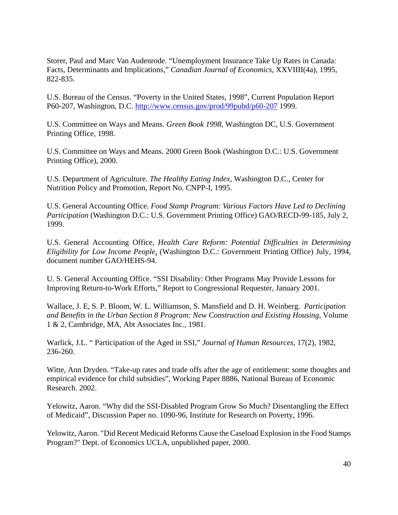Storer, Paul and Marc Van Audenrode. "Unemployment Insurance Take Up Rates in Canada: Facts, Determinants and Implications," *Canadian Journal of Economics*, XXVIIII(4a), 1995, 822-835.

U.S. Bureau of the Census. "Poverty in the United States, 1998", Current Population Report P60-207, Washington, D.C. http://www.census.gov/prod/99pubd/p60-207 1999.

U.S. Committee on Ways and Means. *Green Book 1998*, Washington DC, U.S. Government Printing Office, 1998.

U.S. Committee on Ways and Means. 2000 Green Book (Washington D.C.: U.S. Government Printing Office), 2000.

U.S. Department of Agriculture. *The Healthy Eating Index*, Washington D.C., Center for Nutrition Policy and Promotion, Report No. CNPP-I, 1995.

U.S. General Accounting Office. *Food Stamp Program: Various Factors Have Led to Declining Participation* (Washington D.C.: U.S. Government Printing Office) GAO/RECD-99-185, July 2, 1999.

U.S. General Accounting Office, *Health Care Reform: Potential Difficulties in Determining Eligibility for Low Income People*, (Washington D.C.: Government Printing Office) July, 1994, document number GAO/HEHS-94.

U. S. General Accounting Office. "SSI Disability: Other Programs May Provide Lessons for Improving Return-to-Work Efforts," Report to Congressional Requester, January 2001.

Wallace, J. E, S. P. Bloom, W. L. Williamson, S. Mansfield and D. H. Weinberg. *Participation and Benefits in the Urban Section 8 Program: New Construction and Existing Housing*, Volume 1 & 2, Cambridge, MA, Abt Associates Inc., 1981.

Warlick, J.L. " Participation of the Aged in SSI," *Journal of Human Resources*, 17(2), 1982, 236-260.

Witte, Ann Dryden. "Take-up rates and trade offs after the age of entitlement: some thoughts and empirical evidence for child subsidies", Working Paper 8886, National Bureau of Economic Research. 2002.

Yelowitz, Aaron. "Why did the SSI-Disabled Program Grow So Much? Disentangling the Effect of Medicaid", Discussion Paper no. 1090-96, Institute for Research on Poverty, 1996.

Yelowitz, Aaron. "Did Recent Medicaid Reforms Cause the Caseload Explosion in the Food Stamps Program?" Dept. of Economics UCLA, unpublished paper, 2000.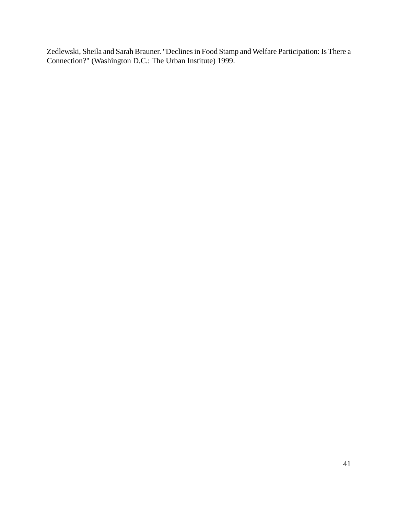Zedlewski, Sheila and Sarah Brauner. "Declines in Food Stamp and Welfare Participation: Is There a Connection?" (Washington D.C.: The Urban Institute) 1999.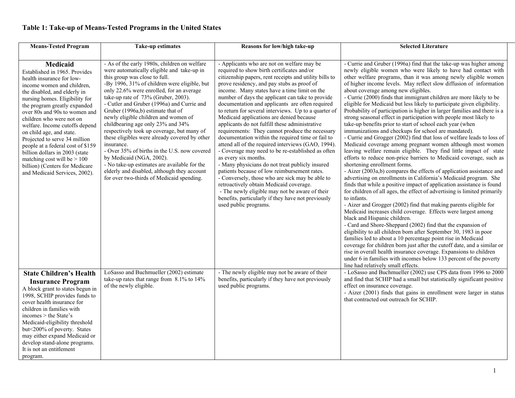# **Table 1: Take-up of Means-Tested Programs in the United States**

| <b>Means-Tested Program</b>                                                                                                                                                                                                                                                                                                                                                                                                                                                                                                                          | <b>Take-up estimates</b>                                                                                                                                                                                                                                                                                                                                                                                                                                                                                                                                                                                                                                                                                                                                            | Reasons for low/high take-up                                                                                                                                                                                                                                                                                                                                                                                                                                                                                                                                                                                                                                                                                                                                                                                                                                                                                                                                                                                                                                                               | <b>Selected Literature</b>                                                                                                                                                                                                                                                                                                                                                                                                                                                                                                                                                                                                                                                                                                                                                                                                                                                                                                                                                                                                                                                                                                                                                                                                                                                                                                                                                                                                                                                                                                                                                                                                                                                                                                                                                                                                                                                                                                                                                                                         |
|------------------------------------------------------------------------------------------------------------------------------------------------------------------------------------------------------------------------------------------------------------------------------------------------------------------------------------------------------------------------------------------------------------------------------------------------------------------------------------------------------------------------------------------------------|---------------------------------------------------------------------------------------------------------------------------------------------------------------------------------------------------------------------------------------------------------------------------------------------------------------------------------------------------------------------------------------------------------------------------------------------------------------------------------------------------------------------------------------------------------------------------------------------------------------------------------------------------------------------------------------------------------------------------------------------------------------------|--------------------------------------------------------------------------------------------------------------------------------------------------------------------------------------------------------------------------------------------------------------------------------------------------------------------------------------------------------------------------------------------------------------------------------------------------------------------------------------------------------------------------------------------------------------------------------------------------------------------------------------------------------------------------------------------------------------------------------------------------------------------------------------------------------------------------------------------------------------------------------------------------------------------------------------------------------------------------------------------------------------------------------------------------------------------------------------------|--------------------------------------------------------------------------------------------------------------------------------------------------------------------------------------------------------------------------------------------------------------------------------------------------------------------------------------------------------------------------------------------------------------------------------------------------------------------------------------------------------------------------------------------------------------------------------------------------------------------------------------------------------------------------------------------------------------------------------------------------------------------------------------------------------------------------------------------------------------------------------------------------------------------------------------------------------------------------------------------------------------------------------------------------------------------------------------------------------------------------------------------------------------------------------------------------------------------------------------------------------------------------------------------------------------------------------------------------------------------------------------------------------------------------------------------------------------------------------------------------------------------------------------------------------------------------------------------------------------------------------------------------------------------------------------------------------------------------------------------------------------------------------------------------------------------------------------------------------------------------------------------------------------------------------------------------------------------------------------------------------------------|
|                                                                                                                                                                                                                                                                                                                                                                                                                                                                                                                                                      |                                                                                                                                                                                                                                                                                                                                                                                                                                                                                                                                                                                                                                                                                                                                                                     |                                                                                                                                                                                                                                                                                                                                                                                                                                                                                                                                                                                                                                                                                                                                                                                                                                                                                                                                                                                                                                                                                            |                                                                                                                                                                                                                                                                                                                                                                                                                                                                                                                                                                                                                                                                                                                                                                                                                                                                                                                                                                                                                                                                                                                                                                                                                                                                                                                                                                                                                                                                                                                                                                                                                                                                                                                                                                                                                                                                                                                                                                                                                    |
| <b>Medicaid</b><br>Established in 1965. Provides<br>health insurance for low-<br>income women and children,<br>the disabled, and elderly in<br>nursing homes. Eligibility for<br>the program greatly expanded<br>over 80s and 90s to women and<br>children who were not on<br>welfare. Income cutoffs depend<br>on child age, and state.<br>Projected to serve 34 million<br>people at a federal cost of \$159<br>billion dollars in 2003 (state<br>matching cost will be $> 100$<br>billion) (Centers for Medicare<br>and Medicaid Services, 2002). | - As of the early 1980s, children on welfare<br>were automatically eligible and take-up in<br>this group was close to full.<br>-By 1996, 31% of children were eligible, but<br>only 22.6% were enrolled, for an average<br>take-up rate of 73% (Gruber, 2003).<br>- Cutler and Gruber (1996a) and Currie and<br>Gruber (1996a,b) estimate that of<br>newly eligible children and women of<br>childbearing age only 23% and 34%<br>respectively took up coverage, but many of<br>these eligibles were already covered by other<br>insurance.<br>- Over 35% of births in the U.S. now covered<br>by Medicaid (NGA, 2002).<br>- No take-up estimates are available for the<br>elderly and disabled, although they account<br>for over two-thirds of Medicaid spending. | - Applicants who are not on welfare may be<br>required to show birth certificates and/or<br>citizenship papers, rent receipts and utility bills to<br>prove residency, and pay stubs as proof of<br>income. Many states have a time limit on the<br>number of days the applicant can take to provide<br>documentation and applicants are often required<br>to return for several interviews. Up to a quarter of<br>Medicaid applications are denied because<br>applicants do not fulfill these administrative<br>requirements: They cannot produce the necessary<br>documentation within the required time or fail to<br>attend all of the required interviews (GAO, 1994).<br>- Coverage may need to be re-established as often<br>as every six months.<br>- Many physicians do not treat publicly insured<br>patients because of low reimbursement rates.<br>- Conversely, those who are sick may be able to<br>retroactively obtain Medicaid coverage.<br>- The newly eligible may not be aware of their<br>benefits, particularly if they have not previously<br>used public programs. | - Currie and Gruber (1996a) find that the take-up was higher among<br>newly eligible women who were likely to have had contact with<br>other welfare programs, than it was among newly eligible women<br>of higher income levels. May reflect slow diffusion of information<br>about coverage among new eligibles.<br>- Currie (2000) finds that immigrant children are more likely to be<br>eligible for Medicaid but less likely to participate given eligibility.<br>Probability of participation is higher in larger families and there is a<br>strong seasonal effect in participation with people most likely to<br>take-up benefits prior to start of school each year (when<br>immunizations and checkups for school are mandated).<br>- Currie and Grogger (2002) find that loss of welfare leads to loss of<br>Medicaid coverage among pregnant women although most women<br>leaving welfare remain eligible. They find little impact of state<br>efforts to reduce non-price barriers to Medicaid coverage, such as<br>shortening enrollment forms.<br>- Aizer (2003a,b) compares the effects of application assistance and<br>advertising on enrollments in California's Medicaid program. She<br>finds that while a positive impact of application assistance is found<br>for children of all ages, the effect of advertising is limited primarily<br>to infants.<br>- Aizer and Grogger (2002) find that making parents eligible for<br>Medicaid increases child coverage. Effects were largest among<br>black and Hispanic children.<br>- Card and Shore-Sheppard (2002) find that the expansion of<br>eligibility to all children born after September 30, 1983 in poor<br>families led to about a 10 percentage point rise in Medicaid<br>coverage for children born just after the cutoff date, and a similar or<br>rise in overall health insurance coverage. Expansions to children<br>under 6 in families with incomes below 133 percent of the poverty<br>line had relatively small effects. |
| <b>State Children's Health</b><br><b>Insurance Program</b><br>A block grant to states begun in<br>1998, SCHIP provides funds to<br>cover health insurance for<br>children in families with<br>incomes > the State's<br>Medicaid-eligibility threshold<br>but<200% of poverty. States<br>may either expand Medicaid or<br>develop stand-alone programs.<br>It is not an entitlement<br>program.                                                                                                                                                       | LoSasso and Buchmueller (2002) estimate<br>take-up rates that range from 8.1% to 14%<br>of the newly eligible.                                                                                                                                                                                                                                                                                                                                                                                                                                                                                                                                                                                                                                                      | - The newly eligible may not be aware of their<br>benefits, particularly if they have not previously<br>used public programs.                                                                                                                                                                                                                                                                                                                                                                                                                                                                                                                                                                                                                                                                                                                                                                                                                                                                                                                                                              | - LoSasso and Buchmueller (2002) use CPS data from 1996 to 2000<br>and find that SCHIP had a small but statistically significant positive<br>effect on insurance coverage.<br>- Aizer (2001) finds that gains in enrollment were larger in status<br>that contracted out outreach for SCHIP.                                                                                                                                                                                                                                                                                                                                                                                                                                                                                                                                                                                                                                                                                                                                                                                                                                                                                                                                                                                                                                                                                                                                                                                                                                                                                                                                                                                                                                                                                                                                                                                                                                                                                                                       |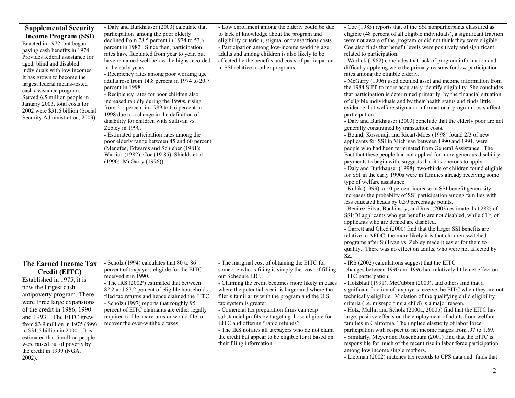| <b>Supplemental Security</b><br><b>Income Program (SSI)</b><br>Enacted in 1972, but began<br>paying cash benefits in 1974.<br>Provides federal assistance for<br>aged, blind and disabled<br>individuals with low incomes.<br>It has grown to become the<br>largest federal means-tested<br>cash assistance program.<br>Served 6.5 million people in<br>January 2003, total costs for<br>2002 were \$31.6 billion (Social<br>Security Administration, 2003). | - Daly and Burkhauser (2003) calculate that<br>participation among the poor elderly<br>declined from 78.5 percent in 1974 to 53.6<br>percent in 1982. Since then, participation<br>rates have fluctuated from year to year, but<br>have remained well below the highs recorded<br>in the early years.<br>- Recipiency rates among poor working age<br>adults rose from 14.8 percent in 1974 to 20.7<br>percent in 1998.<br>- Recipiency rates for poor children also<br>increased rapidly during the 1990s, rising<br>from 2.1 percent in 1989 to 6.6 percent in<br>1998 due to a change in the definition of<br>disability for children with Sullivan vs.<br>Zebley in 1990.<br>- Estimated participation rates among the<br>poor elderly range between 45 and 60 percent<br>(Menefee, Edwards and Schieber (1981);<br>Warlick (1982); Coe (19 85); Shields et al.<br>(1990); McGarry (1996)). | - Low enrollment among the elderly could be due<br>to lack of knowledge about the program and<br>eligibility criterion; stigma; or transactions costs.<br>- Participation among low-income working age<br>adults and among children is also likely to be<br>affected by the benefits and costs of participation<br>in SSI relative to other programs.                                                                                                                                                                                                                                                     | - Coe (1985) reports that of the SSI nonparticipants classified as<br>eligible (48 percent of all eligible individuals), a significant fraction<br>were not aware of the program or did not think they were eligible.<br>Coe also finds that benefit levels were positively and significant<br>related to participation.<br>- Warlick (1982) concludes that lack of program information and<br>difficulty applying were the primary reasons for low participation<br>rates among the eligible elderly.<br>- McGarry (1996) used detailed asset and income information from<br>the 1984 SIPP to more accurately identify eligibility. She concludes<br>that participation is determined primarily by the financial situation<br>of eligible individuals and by their health status and finds little<br>evidence that welfare stigma or informational program costs affect<br>participation.<br>- Daly and Burkhauser (2003) conclude that the elderly poor are not<br>generally constrained by transaction costs.<br>- Bound, Kossoudji and Ricart-Moes (1998) found 2/3 of new<br>applicants for SSI in Michigan between 1990 and 1991, were<br>people who had been terminated from General Assistance. The<br>Fact that these people had not applied for more generous disability<br>payments to begin with, suggests that it is onerous to apply.<br>- Daly and Burkhauser (1998): two-thirds of children found eligible<br>for SSI in the early 1990s were in families already receiving some<br>type of welfare assistance.<br>- Kubik (1999): a 10 percent increase in SSI benefit generosity<br>increases the probabilty of SSI participation among families with<br>less educated heads by 0.39 percentage points.<br>- Benitez-Silva, Buchinsky, and Rust (2003) estimate that 28% of<br>SSI/DI applicants who get benefits are not disabled, while 61% of<br>applicants who are denied are disabled.<br>- Garrett and Glied (2000) find that the larger SSI benefits are<br>relative to AFDC, the more likely it is that children switched<br>programs after Sullivan vs. Zebley made it easier for them to<br>qualify. There was no effect on adults, who were not affected by |
|--------------------------------------------------------------------------------------------------------------------------------------------------------------------------------------------------------------------------------------------------------------------------------------------------------------------------------------------------------------------------------------------------------------------------------------------------------------|-------------------------------------------------------------------------------------------------------------------------------------------------------------------------------------------------------------------------------------------------------------------------------------------------------------------------------------------------------------------------------------------------------------------------------------------------------------------------------------------------------------------------------------------------------------------------------------------------------------------------------------------------------------------------------------------------------------------------------------------------------------------------------------------------------------------------------------------------------------------------------------------------|-----------------------------------------------------------------------------------------------------------------------------------------------------------------------------------------------------------------------------------------------------------------------------------------------------------------------------------------------------------------------------------------------------------------------------------------------------------------------------------------------------------------------------------------------------------------------------------------------------------|------------------------------------------------------------------------------------------------------------------------------------------------------------------------------------------------------------------------------------------------------------------------------------------------------------------------------------------------------------------------------------------------------------------------------------------------------------------------------------------------------------------------------------------------------------------------------------------------------------------------------------------------------------------------------------------------------------------------------------------------------------------------------------------------------------------------------------------------------------------------------------------------------------------------------------------------------------------------------------------------------------------------------------------------------------------------------------------------------------------------------------------------------------------------------------------------------------------------------------------------------------------------------------------------------------------------------------------------------------------------------------------------------------------------------------------------------------------------------------------------------------------------------------------------------------------------------------------------------------------------------------------------------------------------------------------------------------------------------------------------------------------------------------------------------------------------------------------------------------------------------------------------------------------------------------------------------------------------------------------------------------------------------------------------------------------------------------------------------------------------------------------------------------------------------------------|
| <b>The Earned Income Tax</b><br>Credit (EITC)<br>Established in 1975, it is<br>now the largest cash<br>antipoverty program. There<br>were three large expansions<br>of the credit in 1986, 1990<br>and 1993. The EITC grew<br>from \$3.9 million in 1975 (\$99)<br>to $$31.5$ billion in 2000. It is<br>estimated that 5 million people<br>were raised out of poverty by<br>the credit in 1999 (NGA,<br>$2002$ ).                                            | - Scholz (1994) calculates that 80 to 86<br>percent of taxpayers eligible for the EITC<br>received it in 1990.<br>- The IRS (2002 <sup>a</sup> ) estimated that between<br>82.2 and 87.2 percent of eligible households<br>filed tax returns and hence claimed the EITC.<br>- Scholz (1997) reports that roughly 95<br>percent of EITC claimants are either legally<br>required to file tax returns or would file to<br>recover the over-withheld taxes.                                                                                                                                                                                                                                                                                                                                                                                                                                        | - The marginal cost of obtaining the EITC for<br>someone who is filing is simply the cost of filling<br>out Schedule EIC.<br>- Claiming the credit becomes more likely in cases<br>where the potential credit is larger and where the<br>filer's familiarity with the program and the U.S.<br>tax system is greater.<br>- Comercial tax preparation firms can reap<br>substancial profits by targeting those eligible for<br>EITC and offering "rapid refunds".<br>- The IRS notifies all taxpayers who do not claim<br>the credit but appear to be eligible for it based on<br>their filing information. | SZ.<br>- IRS (2002) calculations suggest that the EITC<br>changes between 1990 and 1996 had relatively little net effect on<br>EITC participation.<br>- Hotzblatt (1991), McCubbin (2000), and others find that a<br>significant fraction of taxpayers receive the EITC when they are not<br>technically eligilble. Violation of the qualifying child eligibility<br>criteria ( <i>i.e.</i> misreporting a child) is a major reason.<br>- Hotz, Mullin and Scholz (2000a, 2000b) find that the EITC has<br>large, positive effects on the employment of adults from welfare<br>families in California. The implied elasticity of labor force<br>participation with respect to net income ranges from .97 to 1.69.<br>- Similarly, Meyer and Rosenbaum (2001) find that the EITC is<br>responsible for much of the recent rise in labor force participation<br>among low income single mothers.<br>- Liebman (2002) matches tax records to CPS data and finds that                                                                                                                                                                                                                                                                                                                                                                                                                                                                                                                                                                                                                                                                                                                                                                                                                                                                                                                                                                                                                                                                                                                                                                                                                        |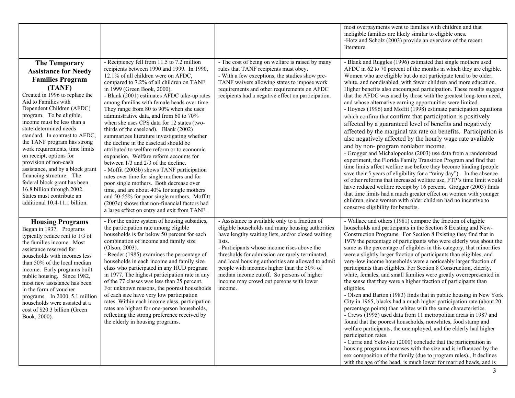|                                                                                                                                                                                                                                                                                                                                                                                                                                                                                                                                                                                                                        |                                                                                                                                                                                                                                                                                                                                                                                                                                                                                                                                                                                                                                                                                                                                                                                                                                                                                                                                                                                                                                                 |                                                                                                                                                                                                                                                                                                                                                                                                                                                                              | most overpayments went to families with children and that<br>ineligible families are likely similar to eligible ones.<br>-Hotz and Scholz (2003) provide an overview of the recent<br>literature.                                                                                                                                                                                                                                                                                                                                                                                                                                                                                                                                                                                                                                                                                                                                                                                                                                                                                                                                                                                                                                                                                                                                                                                                                                                                     |
|------------------------------------------------------------------------------------------------------------------------------------------------------------------------------------------------------------------------------------------------------------------------------------------------------------------------------------------------------------------------------------------------------------------------------------------------------------------------------------------------------------------------------------------------------------------------------------------------------------------------|-------------------------------------------------------------------------------------------------------------------------------------------------------------------------------------------------------------------------------------------------------------------------------------------------------------------------------------------------------------------------------------------------------------------------------------------------------------------------------------------------------------------------------------------------------------------------------------------------------------------------------------------------------------------------------------------------------------------------------------------------------------------------------------------------------------------------------------------------------------------------------------------------------------------------------------------------------------------------------------------------------------------------------------------------|------------------------------------------------------------------------------------------------------------------------------------------------------------------------------------------------------------------------------------------------------------------------------------------------------------------------------------------------------------------------------------------------------------------------------------------------------------------------------|-----------------------------------------------------------------------------------------------------------------------------------------------------------------------------------------------------------------------------------------------------------------------------------------------------------------------------------------------------------------------------------------------------------------------------------------------------------------------------------------------------------------------------------------------------------------------------------------------------------------------------------------------------------------------------------------------------------------------------------------------------------------------------------------------------------------------------------------------------------------------------------------------------------------------------------------------------------------------------------------------------------------------------------------------------------------------------------------------------------------------------------------------------------------------------------------------------------------------------------------------------------------------------------------------------------------------------------------------------------------------------------------------------------------------------------------------------------------------|
| <b>The Temporary</b><br><b>Assistance for Needy</b><br><b>Families Program</b><br>(TANF)<br>Created in 1996 to replace the<br>Aid to Families with<br>Dependent Children (AFDC)<br>program. To be eligible,<br>income must be less than a<br>state-determined needs<br>standard. In contrast to AFDC.<br>the TANF program has strong<br>work requirements, time limits<br>on receipt, options for<br>provision of non-cash<br>assistance, and by a block grant<br>financing structure. The<br>federal block grant has been<br>16.8 billion through 2002.<br>States must contribute an<br>additional 10.4-11.1 billion. | - Recipiency fell from 11.5 to 7.2 million<br>recipients between 1990 and 1999. In 1990,<br>12.1% of all children were on AFDC,<br>compared to 7.2% of all children on TANF<br>in 1999 (Green Book, 2000).<br>- Blank (2001) estimates AFDC take-up rates<br>among familias with female heads over time.<br>They range from 80 to 90% when she uses<br>administrative data, and from 60 to 70%<br>when she uses CPS data for 12 states (two-<br>thirds of the caseload). Blank (2002)<br>summarizes literature investigating whether<br>the decline in the caseload should be<br>attributed to welfare reform or to economic<br>expansion. Welfare reform accounts for<br>between 1/3 and 2/3 of the decline.<br>- Moffit (2003b) shows TANF participation<br>rates over time for single mothers and for<br>poor single mothers. Both decrease over<br>time, and are about 40% for single mothers<br>and 50-55% for poor single mothers. Moffitt<br>(2003c) shows that non-financial factors had<br>a large effect on entry and exit from TANF. | - The cost of being on welfare is raised by many<br>rules that TANF recipients must obey.<br>- With a few exceptions, the studies show pre-<br>TANF waivers allowing states to impose work<br>requirements and other requirements on AFDC<br>recipients had a negative effect on participation.                                                                                                                                                                              | - Blank and Ruggles (1996) estimated that single mothers used<br>AFDC in 62 to 70 percent of the months in which they are eligible.<br>Women who are eligible but do not participate tend to be older,<br>white, and nondisabled, with fewer children and more education.<br>Higher benefits also encouraged participation. These results suggest<br>that the AFDC was used by those with the greatest long-term need,<br>and whose alternative earning opportunities were limited.<br>- Hoynes (1996) and Moffit (1998) estimate participation equations<br>which confirm that confirm that participation is positively<br>affected by a guaranteed level of benefits and negatively<br>affected by the marginal tax rate on benefits. Participation is<br>also negatively affected by the hourly wage rate available<br>and by non-program nonlabor income.<br>- Grogger and Michalopoulos (2003) use data from a randomized<br>experiment, the Florida Family Transition Program and find that<br>time limits affect welfare use before they become binding (people)<br>save their 5 years of eligibility for a "rainy day"). In the absence<br>of other reforms that increased welfare use, FTP's time limit would<br>have reduced welfare receipt by 16 percent. Grogger (2003) finds<br>that time limits had a much greater effect on women with younger<br>children, since women with older children had no incentive to<br>conserve eligibility for benefits. |
| <b>Housing Programs</b><br>Began in 1937. Programs<br>typically reduce rent to 1/3 of<br>the families income. Most<br>assistance reserved for<br>households with incomes less<br>than 50% of the local median<br>income. Early programs built<br>public housing. Since 1982,<br>most new assistance has been<br>in the form of voucher<br>programs. In 2000, 5.1 million<br>households were assisted at a<br>cost of \$20.3 billion (Green<br>Book, 2000).                                                                                                                                                             | - For the entire system of housing subsidies,<br>the participation rate among eligible<br>households is far below 50 percent for each<br>combination of income and family size<br>(Olson, 2003).<br>- Reeder (1985) examines the percentage of<br>households in each income and family size<br>class who participated in any HUD program<br>in 1977. The highest participation rate in any<br>of the 77 classes was less than 25 percent.<br>For unknown reasons, the poorest households<br>of each size have very low participation<br>rates. Within each income class, participation<br>rates are highest for one-person households,<br>reflecting the strong preference received by<br>the elderly in housing programs.                                                                                                                                                                                                                                                                                                                      | - Assistance is available only to a fraction of<br>eligible households and many housing authorities<br>have lengthy waiting lists, and/or closed waiting<br>lists.<br>- Participants whose income rises above the<br>thresholds for admission are rarely terminated,<br>and local housing authorities are allowed to admit<br>people with incomes higher than the 50% of<br>median income cutoff. So persons of higher<br>income may crowd out persons with lower<br>income. | - Wallace and others (1981) compare the fraction of eligible<br>households and participants in the Section 8 Existing and New-<br>Construction Programs. For Section 8 Existing they find that in<br>1979 the percentage of participants who were elderly was about the<br>same as the percentage of eligibles in this category, that minorities<br>were a slightly larger fraction of participants than eligibles, and<br>very-low income households were a noticeably larger fraction of<br>participants than eligibles. For Section 8 Construction, elderly,<br>white, females, and small families were greatly overrepresented in<br>the sense that they were a higher fraction of participants than<br>eligibles.<br>- Olsen and Barton (1983) finds that in public housing in New York<br>City in 1965, blacks had a much higher participation rate (about 20<br>percentage points) than whites with the same characteristics.<br>- Crews (1995) used data from 11 metropolitan areas in 1987 and<br>found that the poorest households, nonwhites, food stamp and<br>welfare participants, the unemployed, and the elderly had higher<br>participation rates.<br>- Currie and Yelowitz (2000) conclude that the participation in<br>housing programs increases with the size and is influenced by the<br>sex composition of the family (due to program rules)., It declines<br>with the age of the head, is much lower for married heads, and is                |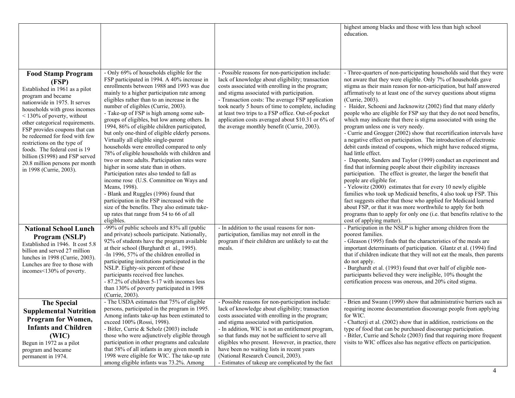| <b>Food Stamp Program</b>                                                                                                                                                                                                                                                                                                                                                                                                               | - Only 69% of households eligible for the                                                                                                                                                                                                                                                                                                                                                                                                                                                                                                                                                                                                                                                                                                                                                                                                                                                                                                                                | - Possible reasons for non-participation include:                                                                                                                                                                                                                                                                                                                                                                                                                                                             | highest among blacks and those with less than high school<br>education.<br>- Three-quarters of non-participating households said that they were                                                                                                                                                                                                                                                                                                                                                                                                                                                                                                                                                                                                                                                                                                                                                                                                                                                                                                                                                                                                                                                                                                                                                                                            |
|-----------------------------------------------------------------------------------------------------------------------------------------------------------------------------------------------------------------------------------------------------------------------------------------------------------------------------------------------------------------------------------------------------------------------------------------|--------------------------------------------------------------------------------------------------------------------------------------------------------------------------------------------------------------------------------------------------------------------------------------------------------------------------------------------------------------------------------------------------------------------------------------------------------------------------------------------------------------------------------------------------------------------------------------------------------------------------------------------------------------------------------------------------------------------------------------------------------------------------------------------------------------------------------------------------------------------------------------------------------------------------------------------------------------------------|---------------------------------------------------------------------------------------------------------------------------------------------------------------------------------------------------------------------------------------------------------------------------------------------------------------------------------------------------------------------------------------------------------------------------------------------------------------------------------------------------------------|--------------------------------------------------------------------------------------------------------------------------------------------------------------------------------------------------------------------------------------------------------------------------------------------------------------------------------------------------------------------------------------------------------------------------------------------------------------------------------------------------------------------------------------------------------------------------------------------------------------------------------------------------------------------------------------------------------------------------------------------------------------------------------------------------------------------------------------------------------------------------------------------------------------------------------------------------------------------------------------------------------------------------------------------------------------------------------------------------------------------------------------------------------------------------------------------------------------------------------------------------------------------------------------------------------------------------------------------|
| (FSP)<br>Established in 1961 as a pilot<br>program and became<br>nationwide in 1975. It serves<br>households with gross incomes<br>$\leq$ 130% of poverty, without<br>other categorical requirements.<br>FSP provides coupons that can<br>be redeemed for food with few<br>restrictions on the type of<br>foods. The federal cost is 19<br>billion (\$1998) and FSP served<br>20.8 million persons per month<br>in 1998 (Currie, 2003). | FSP participated in 1994. A 40% increase in<br>enrollments between 1988 and 1993 was due<br>mainly to a higher participation rate among<br>eligibles rather than to an increase in the<br>number of eligibles (Currie, 2003).<br>- Take-up of FSP is high among some sub-<br>groups of eligibles, but low among others. In<br>1994, 86% of eligible children participated,<br>but only one-third of eligible elderly persons.<br>Virtually all eligible single-parent<br>households were enrolled compared to only<br>78% of eligible households with children and<br>two or more adults. Participation rates were<br>higher in some state than in others.<br>Participation rates also tended to fall as<br>income rose (U.S. Committee on Ways and<br>Means, 1998).<br>- Blank and Ruggles (1996) found that<br>participation in the FSP increased with the<br>size of the benefits. They also estimate take-<br>up rates that range from 54 to 66 of all<br>eligibles. | lack of knowledge about eligibility; transaction<br>costs associated with enrolling in the program;<br>and stigma associated with participation.<br>- Transaction costs: The average FSP application<br>took nearly 5 hours of time to complete, including<br>at least two trips to a FSP office. Out-of-pocket<br>application costs averaged about \$10.31 or 6% of<br>the average monthly benefit (Currie, 2003).                                                                                           | not aware that they were eligible. Only 7% of households gave<br>stigma as their main reason for non-articipation, but half answered<br>affirmatively to at least one of the survey questions about stigma<br>(Currie, 2003).<br>- Haider, Schoeni and Jacknowitz (2002) find that many elderly<br>people who are eligible for FSP say that they do not need benefits,<br>which may indicate that there is stigma associated with using the<br>program unless one is very needy.<br>- Currie and Grogger (2002) show that recertification intervals have<br>a negative effect on participation. The introduction of electronic<br>debit cards instead of coupons, which might have reduced stigma,<br>had little effect.<br>- Daponte, Sanders and Taylor (1999) conduct an experiment and<br>find that informing people about their eligibility increases<br>participation. The effect is greater, the larger the benefit that<br>people are eligible for.<br>- Yelowitz (2000) estimates that for every 10 newly eligible<br>families who took up Medicaid benefits, 4 also took up FSP. This<br>fact suggests either that those who applied for Medicaid learned<br>about FSP, or that it was more worthwhile to apply for both<br>programs than to apply for only one (i.e. that benefits relative to the<br>cost of applying matter). |
| <b>National School Lunch</b><br>Program (NSLP)<br>Established in 1946. It cost 5.8<br>billion and served 27 million<br>lunches in 1998 (Currie, 2003).<br>Lunches are free to those with<br>incomes<130% of poverty.                                                                                                                                                                                                                    | -99% of public schools and 83% all (public<br>and private) schools participate. Nationally,<br>92% of students have the program available<br>at their school (Burghardt et al., 1995).<br>-In 1996, 57% of the children enrolled in<br>participating institutions participated in the<br>NSLP. Eighty-six percent of these<br>participants received free lunches.<br>- 87.2% of children 5-17 with incomes less<br>than 130% of poverty participated in 1998<br>(Currie, 2003).                                                                                                                                                                                                                                                                                                                                                                                                                                                                                          | - In addition to the usual reasons for non-<br>participation, familias may not enroll in the<br>program if their children are unlikely to eat the<br>meals.                                                                                                                                                                                                                                                                                                                                                   | - Participation in the NSLP is higher among children from the<br>poorest families.<br>- Gleason (1995) finds that the characteristics of the meals are<br>important determinants of participation. Glantz et al. (1994) find<br>that if children indicate that they will not eat the meals, then parents<br>do not apply.<br>- Burghardt et al. (1993) found that over half of eligible non-<br>participants believed they were ineligible, 10% thought the<br>certification process was onerous, and 20% cited stigma.                                                                                                                                                                                                                                                                                                                                                                                                                                                                                                                                                                                                                                                                                                                                                                                                                    |
| <b>The Special</b><br><b>Supplemental Nutrition</b><br><b>Program for Women,</b><br><b>Infants and Children</b><br>(WIC)<br>Begun in 1972 as a pilot<br>program and became<br>permanent in 1974.                                                                                                                                                                                                                                        | - The USDA estimates that 75% of eligible<br>persons, participated in the program in 1995.<br>Among infants take-up has been estimated to<br>exceed 100% (Rossi, 1998).<br>- Bitler, Currie & Scholz (2003) include<br>those who were adjunctively eligible through<br>participation in other programs and calculate<br>that 58% of all infants in any given month in<br>1998 were eligible for WIC. The take-up rate<br>among eligible infants was 73.2%. Among                                                                                                                                                                                                                                                                                                                                                                                                                                                                                                         | - Possible reasons for non-participation include:<br>lack of knowledge about eligibility; transaction<br>costs associated with enrolling in the program;<br>and stigma associated with participation.<br>- In addition, WIC is not an entitlement program,<br>so that funds may not be sufficient to serve all<br>eligibles who present. However, in practice, there<br>have been no waiting lists in recent years<br>(National Research Council, 2003).<br>- Estimates of takeup are complicated by the fact | - Brien and Swann (1999) show that administrative barriers such as<br>requiring income documentation discourage people from applying<br>for WIC.<br>- Chatterji et al. (2002) show that in addition, restrictions on the<br>type of food that can be purchased discourage participation.<br>- Bitler, Currie and Scholz (2003) find that requiring more frequent<br>visits to WIC offices also has negative effects on participation.                                                                                                                                                                                                                                                                                                                                                                                                                                                                                                                                                                                                                                                                                                                                                                                                                                                                                                      |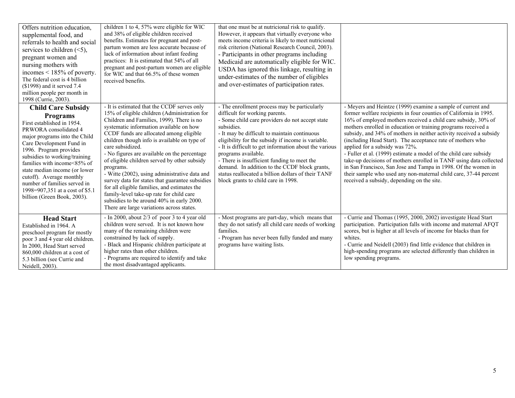| Offers nutrition education,<br>supplemental food, and<br>referrals to health and social<br>services to children $(\leq 5)$ ,<br>pregnant women and<br>nursing mothers with<br>incomes $\leq 185\%$ of poverty.<br>The federal cost is 4 billion<br>$($ 1998) and it served 7.4<br>million people per month in<br>1998 (Currie, 2003).                                                                                     | children 1 to 4, 57% were eligible for WIC<br>and 38% of eligible children received<br>benefits. Estimates for pregnant and post-<br>partum women are less accurate because of<br>lack of information about infant feeding<br>practices: It is estimated that 54% of all<br>pregnant and post-partum women are eligible<br>for WIC and that 66.5% of these women<br>received benefits.                                                                                                                                                                                                                                                                                                                    | that one must be at nutricional risk to qualify.<br>However, it appears that virtually everyone who<br>meets income criteria is likely to meet nutricional<br>risk criterion (National Research Council, 2003).<br>- Participants in other programs including<br>Medicaid are automatically eligible for WIC.<br>USDA has ignored this linkage, resulting in<br>under-estimates of the number of eligibles<br>and over-estimates of participation rates.                                                                            |                                                                                                                                                                                                                                                                                                                                                                                                                                                                                                                                                                                                                                                                                                                                                                        |
|---------------------------------------------------------------------------------------------------------------------------------------------------------------------------------------------------------------------------------------------------------------------------------------------------------------------------------------------------------------------------------------------------------------------------|-----------------------------------------------------------------------------------------------------------------------------------------------------------------------------------------------------------------------------------------------------------------------------------------------------------------------------------------------------------------------------------------------------------------------------------------------------------------------------------------------------------------------------------------------------------------------------------------------------------------------------------------------------------------------------------------------------------|-------------------------------------------------------------------------------------------------------------------------------------------------------------------------------------------------------------------------------------------------------------------------------------------------------------------------------------------------------------------------------------------------------------------------------------------------------------------------------------------------------------------------------------|------------------------------------------------------------------------------------------------------------------------------------------------------------------------------------------------------------------------------------------------------------------------------------------------------------------------------------------------------------------------------------------------------------------------------------------------------------------------------------------------------------------------------------------------------------------------------------------------------------------------------------------------------------------------------------------------------------------------------------------------------------------------|
| <b>Child Care Subsidy</b><br><b>Programs</b><br>First established in 1954.<br>PRWORA consolidated 4<br>major programs into the Child<br>Care Development Fund in<br>1996. Program provides<br>subsidies to working/training<br>families with income<85% of<br>state median income (or lower<br>cutoff). Average monthly<br>number of families served in<br>1998=907,351 at a cost of \$5.1<br>billion (Green Book, 2003). | - It is estimated that the CCDF serves only<br>15% of eligible children (Administration for<br>Children and Families, 1999). There is no<br>systematic information available on how<br>CCDF funds are allocated among eligible<br>children though info is available on type of<br>care subsidized.<br>- No figures are available on the percentage<br>of eligible children served by other subsidy<br>programs.<br>- Witte (2002), using administrative data and<br>survey data for states that guarantee subsidies<br>for all eligible families, and estimates the<br>family-level take-up rate for child care<br>subsidies to be around 40% in early 2000.<br>There are large variations across states. | - The enrollment process may be particularly<br>difficult for working parents.<br>- Some child care providers do not accept state<br>subsidies.<br>- It may be difficult to maintain continuous<br>eligibility for the subsidy if income is variable.<br>- It is difficult to get information about the various<br>programs available.<br>- There is insufficient funding to meet the<br>demand. In addition to the CCDF block grants,<br>status reallocated a billion dollars of their TANF<br>block grants to child care in 1998. | - Meyers and Heintze (1999) examine a sample of current and<br>former welfare recipients in four counties of California in 1995.<br>16% of employed mothers received a child care subsidy, 30% of<br>mothers enrolled in education or training programs received a<br>subsidy, and 34% of mothers in neither activity received a subsidy<br>(including Head Start). The acceptance rate of mothers who<br>applied for a subsidy was 72%.<br>- Fuller et al. (1999) estimate a model of the child care subsidy<br>take-up decisions of mothers enrolled in TANF using data collected<br>in San Francisco, San Jose and Tampa in 1998. Of the women in<br>their sample who used any non-maternal child care, 37-44 percent<br>received a subsidy, depending on the site. |
| <b>Head Start</b><br>Established in 1964. A<br>preschool program for mostly<br>poor 3 and 4 year old children.<br>In 2000, Head Start served<br>860,000 children at a cost of<br>5.3 billion (see Currie and<br>Neidell, 2003).                                                                                                                                                                                           | - In 2000, about $2/3$ of poor 3 to 4 year old<br>children were served. It is not known how<br>many of the remaining children were<br>constrained by lack of supply.<br>- Black and Hispanic children participate at<br>higher rates than other children.<br>- Programs are required to identify and take<br>the most disadvantaged applicants.                                                                                                                                                                                                                                                                                                                                                           | - Most programs are part-day, which means that<br>they do not satisfy all child care needs of working<br>families.<br>- Program has never been fully funded and many<br>programs have waiting lists.                                                                                                                                                                                                                                                                                                                                | - Currie and Thomas (1995, 2000, 2002) investigate Head Start<br>participation. Participation falls with income and maternal AFQT<br>scores, but is higher at all levels of income for blacks than for<br>whites.<br>- Currie and Neidell (2003) find little evidence that children in<br>high-spending programs are selected differently than children in<br>low spending programs.                                                                                                                                                                                                                                                                                                                                                                                   |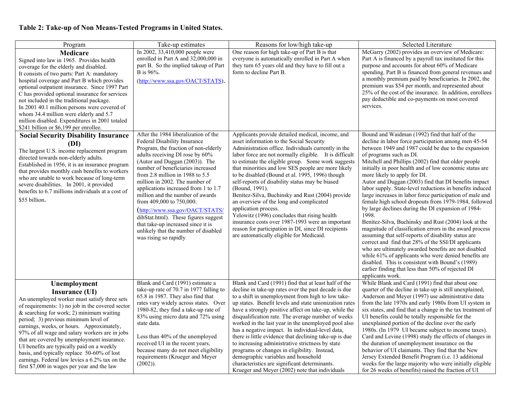# **Table 2: Take-up of Non Means-Tested Programs in United States.**

| Program                                                                                                                                                                                                                                                                                                                                                                                                                                                                                                                                                              | Take-up estimates                                                                                                                                                                                                                                                                                                                                                                                                                                                                                                                                                                       | Reasons for low/high take-up                                                                                                                                                                                                                                                                                                                                                                                                                                                                                                                                                                                                                                                                                                                                                    | Selected Literature                                                                                                                                                                                                                                                                                                                                                                                                                                                                                                                                                                                                                                                                                                                                                                                                                                                                                                                                                                                                                                                                                                            |
|----------------------------------------------------------------------------------------------------------------------------------------------------------------------------------------------------------------------------------------------------------------------------------------------------------------------------------------------------------------------------------------------------------------------------------------------------------------------------------------------------------------------------------------------------------------------|-----------------------------------------------------------------------------------------------------------------------------------------------------------------------------------------------------------------------------------------------------------------------------------------------------------------------------------------------------------------------------------------------------------------------------------------------------------------------------------------------------------------------------------------------------------------------------------------|---------------------------------------------------------------------------------------------------------------------------------------------------------------------------------------------------------------------------------------------------------------------------------------------------------------------------------------------------------------------------------------------------------------------------------------------------------------------------------------------------------------------------------------------------------------------------------------------------------------------------------------------------------------------------------------------------------------------------------------------------------------------------------|--------------------------------------------------------------------------------------------------------------------------------------------------------------------------------------------------------------------------------------------------------------------------------------------------------------------------------------------------------------------------------------------------------------------------------------------------------------------------------------------------------------------------------------------------------------------------------------------------------------------------------------------------------------------------------------------------------------------------------------------------------------------------------------------------------------------------------------------------------------------------------------------------------------------------------------------------------------------------------------------------------------------------------------------------------------------------------------------------------------------------------|
| Medicare<br>Signed into law in 1965. Provides health<br>coverage for the elderly and disabled.<br>It consists of two parts: Part A: mandatory<br>hospital coverage and Part B which provides<br>optional outpatient insurance. Since 1997 Part<br>C has provided optional insurance for services<br>not included in the traditional package.<br>In 2001 40.1 million persons were covered of<br>whom 34.4 million were elderly and 5.7<br>million disabled. Expenditures in 2001 totaled<br>\$241 billion or \$6,199 per enrollee.                                   | In 2002, 33,410,000 people were<br>enrolled in Part A and 32,000,000 in<br>part B. So the implied takeup of Part<br>B is 96%.<br>(http://www.ssa.gov/OACT/STATS).                                                                                                                                                                                                                                                                                                                                                                                                                       | One reason for high take-up of Part B is that<br>everyone is automatically enrolled in Part A when<br>they turn 65 years old and they have to fill out a<br>form to decline Part B.                                                                                                                                                                                                                                                                                                                                                                                                                                                                                                                                                                                             | McGarry (2002) provides an overview of Medicare:<br>Part A is financed by a payroll tax instituted for this<br>purpose and accounts for about 60% of Medicare<br>spending. Part B is financed from general revenues and<br>a monthly premium paid by beneficiaries. In 2002, the<br>premium was \$54 per month, and represented about<br>25% of the cost of the insurance. In addition, enrollees<br>pay deductible and co-payments on most covered<br>services.                                                                                                                                                                                                                                                                                                                                                                                                                                                                                                                                                                                                                                                               |
| <b>Social Security Disability Insurance</b><br>(DI)<br>The largest U.S. income replacement program<br>directed towards non-elderly adults.<br>Established in 1956, it is an insurance program<br>that provides monthly cash benefits to workers<br>who are unable to work because of long-term<br>severe disabilities. In 2001, it provided<br>benefits to 6.7 millions individuals at a cost of<br>\$55 billion.                                                                                                                                                    | After the 1984 liberalization of the<br>Federal Disability Insurance<br>Program, the fraction of non-elderly<br>adults receiving DI rose by 60%<br>(Autor and Duggan (2003)). The<br>number of beneficiaries increased<br>from 2.8 million in 1988 to $5.5$<br>million in 2002. The number of<br>applications increased from 1 to 1.7<br>million and the number of awards<br>from 409,000 to 750,000.<br>(http://www.ssa.gov/OACT/STATS/<br>dibStat.html). These figures suggest<br>that take-up increased since it is<br>unlikely that the number of disabled<br>was rising so rapidly | Applicants provide detailed medical, income, and<br>asset information to the Social Security<br>Administration office. Individuals currently in the<br>labor force are not normally eligible. It is difficult<br>to estimate the eligible group. Some work suggests<br>that minorities and low SES people are more likely<br>to be disabled (Bound et al. 1995, 1996) though<br>self-reports of disability status may be biased<br>(Bound, 1991).<br>Benítez-Silva, Buchinsky and Rust (2004) provide<br>an overview of the long and complicated<br>application process.<br>Yelowitz (1996) concludes that rising health<br>insurance costs over 1987-1993 were an important<br>reason for participation in DI, since DI recipients<br>are automatically eligible for Medicaid. | Bound and Waidman (1992) find that half of the<br>decline in labor force participation among men 45-54<br>between 1949 and 1987 could be due to the expansion<br>of programs such as DI.<br>Mitchell and Phillips (2002) find that older people<br>initially in poor health and of low economic status are<br>more likely to apply for DI.<br>Autor and Duggan (2003) find that DI benefits impact<br>labor supply. State-level reductions in benefits induced<br>large increases in labor force participation of male and<br>female high school dropouts from 1979-1984, followed<br>by large declines during the DI expansion of 1984-<br>1998.<br>Benítez-Silva, Buchinsky and Rust (2004) look at the<br>magnitude of classification errors in the award process<br>assuming that self-reports of disability status are<br>correct and find that 28% of the SSI/DI applicants<br>who are ultimately awarded benefits are not disabled<br>while 61% of applicants who were denied benefits are<br>disabled. This is consistent with Bound's (1989)<br>earlier finding that less than 50% of rejected DI<br>applicants work. |
| Unemployment<br>Insurance (UI)<br>An unemployed worker must satisfy three sets<br>of requirements: 1) no job in the covered sector<br>$&$ searching for work; 2) minimum waiting<br>period; 3) previous minimum level of<br>earnings, weeks, or hours. Approximately,<br>97% of all wage and salary workers are in jobs<br>that are covered by unemployment insurance.<br>UI benefits are typically paid on a weekly<br>basis, and typically replace 50-60% of lost<br>earnings. Federal law levies a 6.2% tax on the<br>first \$7,000 in wages per year and the law | Blank and Card (1991) estimate a<br>take-up rate of 70.7 in 1977 falling to<br>65.8 in 1987. They also find that<br>rates vary widely across states. Over<br>1980-82, they find a take-up rate of<br>83% using micro data and 72% using<br>state data.<br>Less than 40% of the unemployed<br>received UI in the recent years,<br>because many do not meet eligibility<br>requirements (Krueger and Meyer<br>$(2002)$ ).                                                                                                                                                                 | Blank and Card (1991) find that at least half of the<br>decline in take-up rates over the past decade is due<br>to a shift in unemployment from high to low take-<br>up states. Benefit levels and state unionization rates<br>have a strongly positive affect on take-up, while the<br>disqualification rate. The average number of weeks<br>worked in the last year in the unemployed pool also<br>has a negative impact. In individual-level data,<br>there is little evidence that declining take-up is due<br>to increasing administrative strictness by state<br>programs or changes in eligibility. Instead,<br>demographic variables and household<br>characteristics are significant determinants.<br>Krueger and Meyer (2002) note that individuals                   | While Blank and Card (1991) find that about one<br>quarter of the decline in take-up is still unexplained,<br>Anderson and Meyer (1997) use administrative data<br>from the late 1970s and early 1980s from UI system in<br>six states, and find that a change in the tax treatment of<br>UI benefits could be totally responsible for the<br>unexplained portion of the decline over the early<br>1980s. (In 1979 UI became subject to income taxes).<br>Card and Levine (1998) study the effects of changes in<br>the duration of unemployment insurance on the<br>behavior of UI claimants. They find that the New<br>Jersey Extended Benefit Program (i.e. 13 additional<br>weeks for the large majority who were initially eligible<br>for 26 weeks of benefits) raised the fraction of UI                                                                                                                                                                                                                                                                                                                                |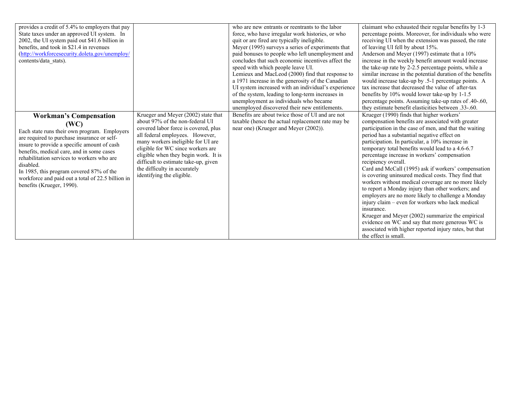| provides a credit of 5.4% to employers that pay<br>State taxes under an approved UI system. In<br>2002, the UI system paid out \$41.6 billion in<br>benefits, and took in \$21.4 in revenues<br>(http://workforcesecurity.doleta.gov/unemploy/<br>contents/data stats).                                                                                                                                                   |                                                                                                                                                                                                                                                                                                                                                                           | who are new entrants or reentrants to the labor<br>force, who have irregular work histories, or who<br>quit or are fired are typically ineligible.<br>Meyer (1995) surveys a series of experiments that<br>paid bonuses to people who left unemployment and<br>concludes that such economic incentives affect the<br>speed with which people leave UI.<br>Lemieux and MacLeod (2000) find that response to<br>a 1971 increase in the generosity of the Canadian<br>UI system increased with an individual's experience<br>of the system, leading to long-term increases in<br>unemployment as individuals who became<br>unemployed discovered their new entitlements. | claimant who exhausted their regular benefits by 1-3<br>percentage points. Moreover, for individuals who were<br>receiving UI when the extension was passed, the rate<br>of leaving UI fell by about 15%.<br>Anderson and Meyer (1997) estimate that a 10%<br>increase in the weekly benefit amount would increase<br>the take-up rate by 2-2.5 percentage points, while a<br>similar increase in the potential duration of the benefits<br>would increase take-up by .5-1 percentage points. A<br>tax increase that decreased the value of after-tax<br>benefits by 10% would lower take-up by 1-1.5<br>percentage points. Assuming take-up rates of .40-.60,<br>they estimate benefit elasticities between .33-.60.                                                                                                                                                                                                            |
|---------------------------------------------------------------------------------------------------------------------------------------------------------------------------------------------------------------------------------------------------------------------------------------------------------------------------------------------------------------------------------------------------------------------------|---------------------------------------------------------------------------------------------------------------------------------------------------------------------------------------------------------------------------------------------------------------------------------------------------------------------------------------------------------------------------|-----------------------------------------------------------------------------------------------------------------------------------------------------------------------------------------------------------------------------------------------------------------------------------------------------------------------------------------------------------------------------------------------------------------------------------------------------------------------------------------------------------------------------------------------------------------------------------------------------------------------------------------------------------------------|----------------------------------------------------------------------------------------------------------------------------------------------------------------------------------------------------------------------------------------------------------------------------------------------------------------------------------------------------------------------------------------------------------------------------------------------------------------------------------------------------------------------------------------------------------------------------------------------------------------------------------------------------------------------------------------------------------------------------------------------------------------------------------------------------------------------------------------------------------------------------------------------------------------------------------|
| <b>Workman's Compensation</b><br>(WC)<br>Each state runs their own program. Employers<br>are required to purchase insurance or self-<br>insure to provide a specific amount of cash<br>benefits, medical care, and in some cases<br>rehabilitation services to workers who are<br>disabled.<br>In 1985, this program covered 87% of the<br>workforce and paid out a total of 22.5 billion in<br>benefits (Krueger, 1990). | Krueger and Meyer (2002) state that<br>about 97% of the non-federal UI<br>covered labor force is covered, plus<br>all federal employees. However,<br>many workers ineligible for UI are<br>eligible for WC since workers are<br>eligible when they begin work. It is<br>difficult to estimate take-up, given<br>the difficulty in accurately<br>identifying the eligible. | Benefits are about twice those of UI and are not<br>taxable (hence the actual replacement rate may be<br>near one) (Krueger and Meyer (2002)).                                                                                                                                                                                                                                                                                                                                                                                                                                                                                                                        | Krueger (1990) finds that higher workers'<br>compensation benefits are associated with greater<br>participation in the case of men, and that the waiting<br>period has a substantial negative effect on<br>participation. In particular, a 10% increase in<br>temporary total benefits would lead to a 4.6-6.7<br>percentage increase in workers' compensation<br>recipiency overall.<br>Card and McCall (1995) ask if workers' compensation<br>is covering uninsured medical costs. They find that<br>workers without medical coverage are no more likely<br>to report a Monday injury than other workers; and<br>employers are no more likely to challenge a Monday<br>injury claim - even for workers who lack medical<br>insurance.<br>Krueger and Meyer (2002) summarize the empirical<br>evidence on WC and say that more generous WC is<br>associated with higher reported injury rates, but that<br>the effect is small. |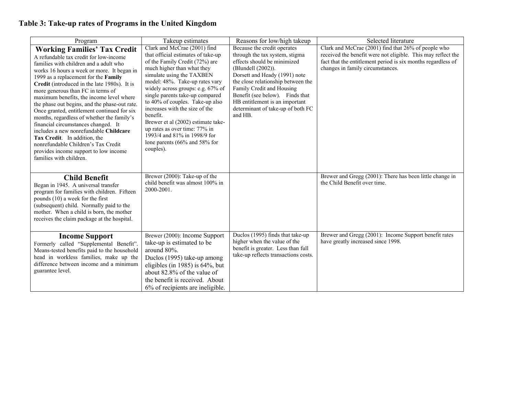# **Table 3: Take-up rates of Programs in the United Kingdom**

| Program                                                                                                                                                                                                                                                                                                                                                                                                                                                                                                                                                                                                                                                                                                                  | Takeup estimates                                                                                                                                                                                                                                                                                                                                                                                                                                                                                                   | Reasons for low/high takeup                                                                                                                                                                                                                                                                                                                 | Selected literature                                                                                                                                                                                                     |
|--------------------------------------------------------------------------------------------------------------------------------------------------------------------------------------------------------------------------------------------------------------------------------------------------------------------------------------------------------------------------------------------------------------------------------------------------------------------------------------------------------------------------------------------------------------------------------------------------------------------------------------------------------------------------------------------------------------------------|--------------------------------------------------------------------------------------------------------------------------------------------------------------------------------------------------------------------------------------------------------------------------------------------------------------------------------------------------------------------------------------------------------------------------------------------------------------------------------------------------------------------|---------------------------------------------------------------------------------------------------------------------------------------------------------------------------------------------------------------------------------------------------------------------------------------------------------------------------------------------|-------------------------------------------------------------------------------------------------------------------------------------------------------------------------------------------------------------------------|
| <b>Working Families' Tax Credit</b><br>A refundable tax credit for low-income<br>families with children and a adult who<br>works 16 hours a week or more. It began in<br>1999 as a replacement for the Family<br>Credit (introduced in the late 1980s). It is<br>more generous than FC in terms of<br>maximum benefits, the income level where<br>the phase out begins, and the phase-out rate.<br>Once granted, entitlement continued for six<br>months, regardless of whether the family's<br>financial circumstances changed. It<br>includes a new nonrefundable Childcare<br>Tax Credit. In addition, the<br>nonrefundable Children's Tax Credit<br>provides income support to low income<br>families with children. | Clark and McCrae (2001) find<br>that official estimates of take-up<br>of the Family Credit (72%) are<br>much higher than what they<br>simulate using the TAXBEN<br>model: 48%. Take-up rates vary<br>widely across groups: e.g. 67% of<br>single parents take-up compared<br>to 40% of couples. Take-up also<br>increases with the size of the<br>benefit.<br>Brewer et al (2002) estimate take-<br>up rates as over time: 77% in<br>1993/4 and 81% in 1998/9 for<br>lone parents $(66\%$ and 58% for<br>couples). | Because the credit operates<br>through the tax system, stigma<br>effects should be minimized<br>(Blundell (2002)).<br>Dorsett and Heady (1991) note<br>the close relationship between the<br>Family Credit and Housing<br>Benefit (see below). Finds that<br>HB entitlement is an important<br>determinant of take-up of both FC<br>and HB. | Clark and McCrae (2001) find that 26% of people who<br>received the benefit were not eligible. This may reflect the<br>fact that the entitlement period is six months regardless of<br>changes in family circumstances. |
| <b>Child Benefit</b><br>Began in 1945. A universal transfer<br>program for families with children. Fifteen<br>pounds (10) a week for the first<br>(subsequent) child. Normally paid to the<br>mother. When a child is born, the mother<br>receives the claim package at the hospital.                                                                                                                                                                                                                                                                                                                                                                                                                                    | Brewer (2000): Take-up of the<br>child benefit was almost 100% in<br>2000-2001.                                                                                                                                                                                                                                                                                                                                                                                                                                    |                                                                                                                                                                                                                                                                                                                                             | Brewer and Gregg (2001): There has been little change in<br>the Child Benefit over time.                                                                                                                                |
| <b>Income Support</b><br>Formerly called "Supplemental Benefit".<br>Means-tested benefits paid to the household<br>head in workless families, make up the<br>difference between income and a minimum<br>guarantee level.                                                                                                                                                                                                                                                                                                                                                                                                                                                                                                 | Brewer (2000): Income Support<br>take-up is estimated to be<br>around 80%.<br>Duclos (1995) take-up among<br>eligibles (in 1985) is $64\%$ , but<br>about 82.8% of the value of<br>the benefit is received. About<br>6% of recipients are ineligible.                                                                                                                                                                                                                                                              | Duclos (1995) finds that take-up<br>higher when the value of the<br>benefit is greater. Less than full<br>take-up reflects transactions costs.                                                                                                                                                                                              | Brewer and Gregg (2001): Income Support benefit rates<br>have greatly increased since 1998.                                                                                                                             |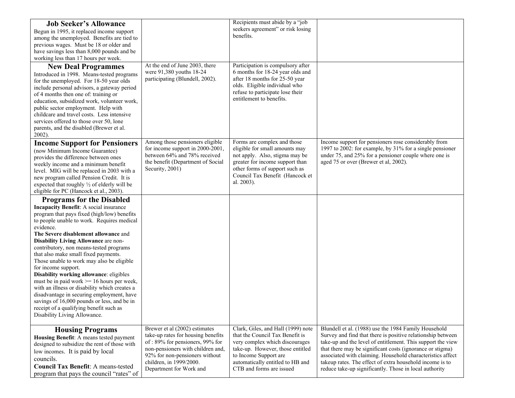| <b>Job Seeker's Allowance</b><br>Begun in 1995, it replaced income support<br>among the unemployed. Benefits are tied to<br>previous wages. Must be 18 or older and<br>have savings less than 8,000 pounds and be<br>working less than 17 hours per week.                                                                                                                                                                                                                                                                                                                                                                                                                                                                                                       |                                                                                                                                                                                                                                     | Recipients must abide by a "job<br>seekers agreement" or risk losing<br>benefits.                                                                                                                                                    |                                                                                                                                                                                                                                                                                                                                                                                                                                     |
|-----------------------------------------------------------------------------------------------------------------------------------------------------------------------------------------------------------------------------------------------------------------------------------------------------------------------------------------------------------------------------------------------------------------------------------------------------------------------------------------------------------------------------------------------------------------------------------------------------------------------------------------------------------------------------------------------------------------------------------------------------------------|-------------------------------------------------------------------------------------------------------------------------------------------------------------------------------------------------------------------------------------|--------------------------------------------------------------------------------------------------------------------------------------------------------------------------------------------------------------------------------------|-------------------------------------------------------------------------------------------------------------------------------------------------------------------------------------------------------------------------------------------------------------------------------------------------------------------------------------------------------------------------------------------------------------------------------------|
| <b>New Deal Programmes</b><br>Introduced in 1998. Means-tested programs<br>for the unemployed. For 18-50 year olds<br>include personal advisors, a gateway period<br>of 4 months then one of: training or<br>education, subsidized work, volunteer work,<br>public sector employment. Help with<br>childcare and travel costs. Less intensive<br>services offered to those over 50, lone<br>parents, and the disabled (Brewer et al.<br>$2002$ ).                                                                                                                                                                                                                                                                                                               | At the end of June 2003, there<br>were 91,380 youths 18-24<br>participating (Blundell, 2002).                                                                                                                                       | Participation is compulsory after<br>6 months for 18-24 year olds and<br>after 18 months for 25-50 year<br>olds. Eligible individual who<br>refuse to participate lose their<br>entitlement to benefits.                             |                                                                                                                                                                                                                                                                                                                                                                                                                                     |
| <b>Income Support for Pensioners</b><br>(now Minimum Income Guarantee)<br>provides the difference between ones<br>weekly income and a minimum benefit<br>level. MIG will be replaced in 2003 with a<br>new program called Pension Credit. It is<br>expected that roughly $\frac{1}{2}$ of elderly will be<br>eligible for PC (Hancock et al., 2003).                                                                                                                                                                                                                                                                                                                                                                                                            | Among those pensioners eligible<br>for income support in 2000-2001,<br>between 64% and 78% received<br>the benefit (Department of Social<br>Security, 2001)                                                                         | Forms are complex and those<br>eligible for small amounts may<br>not apply. Also, stigma may be<br>greater for income support than<br>other forms of support such as<br>Council Tax Benefit (Hancock et<br>al. 2003).                | Income support for pensioners rose considerably from<br>1997 to 2002: for example, by 31% for a single pensioner<br>under 75, and 25% for a pensioner couple where one is<br>aged 75 or over (Brewer et al, 2002).                                                                                                                                                                                                                  |
| <b>Programs for the Disabled</b><br><b>Incapacity Benefit:</b> A social insurance<br>program that pays fixed (high/low) benefits<br>to people unable to work. Requires medical<br>evidence.<br>The Severe disablement allowance and<br><b>Disability Living Allowance are non-</b><br>contributory, non means-tested programs<br>that also make small fixed payments.<br>Those unable to work may also be eligible<br>for income support.<br>Disability working allowance: eligibles<br>must be in paid work $\ge$ = 16 hours per week,<br>with an illness or disability which creates a<br>disadvantage in securing employment, have<br>savings of 16,000 pounds or less, and be in<br>receipt of a qualifying benefit such as<br>Disability Living Allowance. |                                                                                                                                                                                                                                     |                                                                                                                                                                                                                                      |                                                                                                                                                                                                                                                                                                                                                                                                                                     |
| <b>Housing Programs</b><br>Housing Benefit: A means tested payment<br>designed to subsidize the rent of those with<br>low incomes. It is paid by local<br>councils.<br><b>Council Tax Benefit: A means-tested</b><br>program that pays the council "rates" of                                                                                                                                                                                                                                                                                                                                                                                                                                                                                                   | Brewer et al (2002) estimates<br>take-up rates for housing benefits<br>of: 89% for pensioners, 99% for<br>non-pensioners with children and,<br>92% for non-pensioners without<br>children, in 1999/2000.<br>Department for Work and | Clark, Giles, and Hall (1999) note<br>that the Council Tax Benefit is<br>very complex which discourages<br>take-up. However, those entitled<br>to Income Support are<br>automatically entitled to HB and<br>CTB and forms are issued | Blundell et al. (1988) use the 1984 Family Household<br>Survey and find that there is positive relationship between<br>take-up and the level of entitlement. This support the view<br>that there may be significant costs (ignorance or stigma)<br>associated with claiming. Household characteristics affect<br>takeup rates. The effect of extra household income is to<br>reduce take-up significantly. Those in local authority |